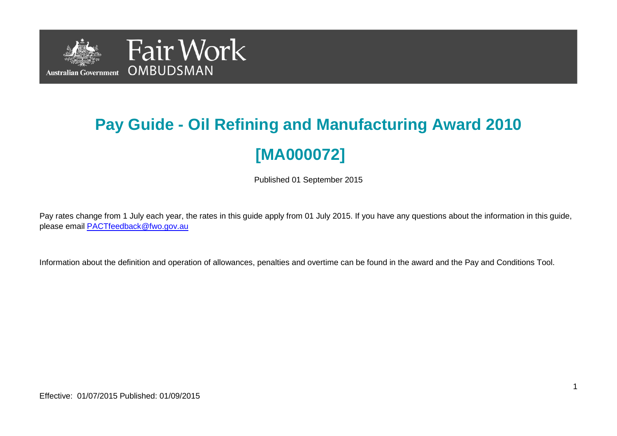

# **Pay Guide - Oil Refining and Manufacturing Award 2010 [MA000072]**

Published 01 September 2015

Pay rates change from 1 July each year, the rates in this guide apply from 01 July 2015. If you have any questions about the information in this guide, please email **PACTfeedback@fwo.gov.au** 

Information about the definition and operation of allowances, penalties and overtime can be found in the award and the Pay and Conditions Tool.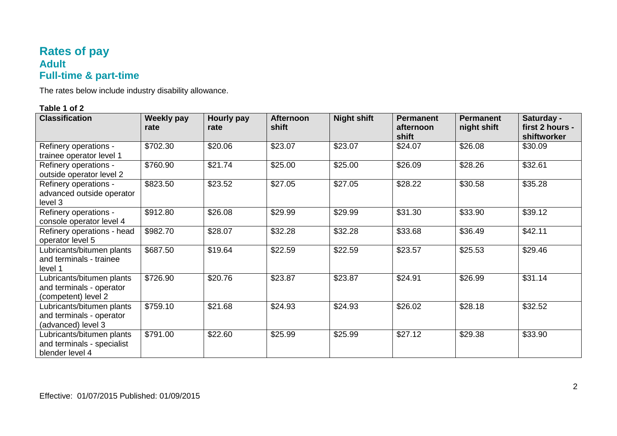## **Rates of pay Adult Full-time & part-time**

The rates below include industry disability allowance.

| <b>Classification</b>                                                        | <b>Weekly pay</b><br>rate | Hourly pay<br>rate | <b>Afternoon</b><br>shift | <b>Night shift</b> | <b>Permanent</b><br>afternoon<br>shift | <b>Permanent</b><br>night shift | Saturday -<br>first 2 hours -<br>shiftworker |
|------------------------------------------------------------------------------|---------------------------|--------------------|---------------------------|--------------------|----------------------------------------|---------------------------------|----------------------------------------------|
| Refinery operations -<br>trainee operator level 1                            | \$702.30                  | \$20.06            | \$23.07                   | \$23.07            | \$24.07                                | \$26.08                         | \$30.09                                      |
| Refinery operations -<br>outside operator level 2                            | \$760.90                  | \$21.74            | \$25.00                   | \$25.00            | \$26.09                                | \$28.26                         | \$32.61                                      |
| Refinery operations -<br>advanced outside operator<br>level 3                | \$823.50                  | \$23.52            | \$27.05                   | \$27.05            | \$28.22                                | \$30.58                         | \$35.28                                      |
| Refinery operations -<br>console operator level 4                            | \$912.80                  | \$26.08            | \$29.99                   | \$29.99            | \$31.30                                | \$33.90                         | \$39.12                                      |
| Refinery operations - head<br>operator level 5                               | \$982.70                  | \$28.07            | \$32.28                   | \$32.28            | \$33.68                                | \$36.49                         | \$42.11                                      |
| Lubricants/bitumen plants<br>and terminals - trainee<br>level 1              | \$687.50                  | \$19.64            | \$22.59                   | \$22.59            | \$23.57                                | \$25.53                         | \$29.46                                      |
| Lubricants/bitumen plants<br>and terminals - operator<br>(competent) level 2 | \$726.90                  | \$20.76            | \$23.87                   | \$23.87            | \$24.91                                | \$26.99                         | \$31.14                                      |
| Lubricants/bitumen plants<br>and terminals - operator<br>(advanced) level 3  | \$759.10                  | \$21.68            | \$24.93                   | \$24.93            | \$26.02                                | \$28.18                         | \$32.52                                      |
| Lubricants/bitumen plants<br>and terminals - specialist<br>blender level 4   | \$791.00                  | \$22.60            | \$25.99                   | \$25.99            | \$27.12                                | \$29.38                         | \$33.90                                      |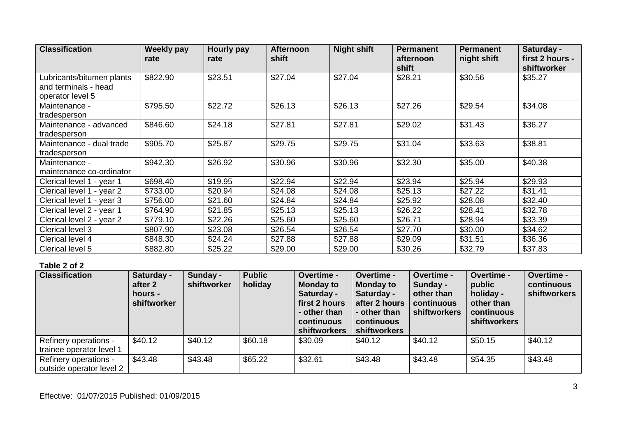| <b>Classification</b>     | <b>Weekly pay</b> | Hourly pay | <b>Afternoon</b> | <b>Night shift</b> | <b>Permanent</b> | <b>Permanent</b> | Saturday -      |
|---------------------------|-------------------|------------|------------------|--------------------|------------------|------------------|-----------------|
|                           | rate              | rate       | shift            |                    | afternoon        | night shift      | first 2 hours - |
|                           |                   |            |                  |                    | shift            |                  | shiftworker     |
| Lubricants/bitumen plants | \$822.90          | \$23.51    | \$27.04          | \$27.04            | \$28.21          | \$30.56          | \$35.27         |
| and terminals - head      |                   |            |                  |                    |                  |                  |                 |
| operator level 5          |                   |            |                  |                    |                  |                  |                 |
| Maintenance -             | \$795.50          | \$22.72    | \$26.13          | \$26.13            | \$27.26          | \$29.54          | \$34.08         |
| tradesperson              |                   |            |                  |                    |                  |                  |                 |
| Maintenance - advanced    | \$846.60          | \$24.18    | \$27.81          | \$27.81            | \$29.02          | \$31.43          | \$36.27         |
| tradesperson              |                   |            |                  |                    |                  |                  |                 |
| Maintenance - dual trade  | \$905.70          | \$25.87    | \$29.75          | \$29.75            | \$31.04          | \$33.63          | \$38.81         |
| tradesperson              |                   |            |                  |                    |                  |                  |                 |
| Maintenance -             | \$942.30          | \$26.92    | \$30.96          | \$30.96            | \$32.30          | \$35.00          | \$40.38         |
| maintenance co-ordinator  |                   |            |                  |                    |                  |                  |                 |
| Clerical level 1 - year 1 | \$698.40          | \$19.95    | \$22.94          | \$22.94            | \$23.94          | \$25.94          | \$29.93         |
| Clerical level 1 - year 2 | \$733.00          | \$20.94    | \$24.08          | \$24.08            | \$25.13          | \$27.22          | \$31.41         |
| Clerical level 1 - year 3 | \$756.00          | \$21.60    | \$24.84          | \$24.84            | \$25.92          | \$28.08          | \$32.40         |
| Clerical level 2 - year 1 | \$764.90          | \$21.85    | \$25.13          | \$25.13            | \$26.22          | \$28.41          | \$32.78         |
| Clerical level 2 - year 2 | \$779.10          | \$22.26    | \$25.60          | \$25.60            | \$26.71          | \$28.94          | \$33.39         |
| Clerical level 3          | \$807.90          | \$23.08    | \$26.54          | \$26.54            | \$27.70          | \$30.00          | \$34.62         |
| Clerical level 4          | \$848.30          | \$24.24    | \$27.88          | \$27.88            | \$29.09          | \$31.51          | \$36.36         |
| Clerical level 5          | \$882.80          | \$25.22    | \$29.00          | \$29.00            | \$30.26          | \$32.79          | \$37.83         |

| <b>Classification</b>                                    | Saturday -<br>after 2<br>hours -<br>shiftworker | Sunday -<br>shiftworker | <b>Public</b><br>holiday | Overtime -<br><b>Monday to</b><br>Saturday -<br>first 2 hours<br>- other than<br>continuous<br>shiftworkers | Overtime -<br><b>Monday to</b><br>Saturday -<br>after 2 hours<br>- other than<br>continuous<br><b>shiftworkers</b> | Overtime -<br>Sunday -<br>other than<br>continuous<br><b>shiftworkers</b> | Overtime -<br>public<br>holiday -<br>other than<br>continuous<br><b>shiftworkers</b> | Overtime -<br>continuous<br><b>shiftworkers</b> |
|----------------------------------------------------------|-------------------------------------------------|-------------------------|--------------------------|-------------------------------------------------------------------------------------------------------------|--------------------------------------------------------------------------------------------------------------------|---------------------------------------------------------------------------|--------------------------------------------------------------------------------------|-------------------------------------------------|
| <b>Refinery operations -</b><br>trainee operator level 1 | \$40.12                                         | \$40.12                 | \$60.18                  | \$30.09                                                                                                     | \$40.12                                                                                                            | \$40.12                                                                   | \$50.15                                                                              | \$40.12                                         |
| Refinery operations -<br>outside operator level 2        | \$43.48                                         | \$43.48                 | \$65.22                  | \$32.61                                                                                                     | \$43.48                                                                                                            | \$43.48                                                                   | \$54.35                                                                              | \$43.48                                         |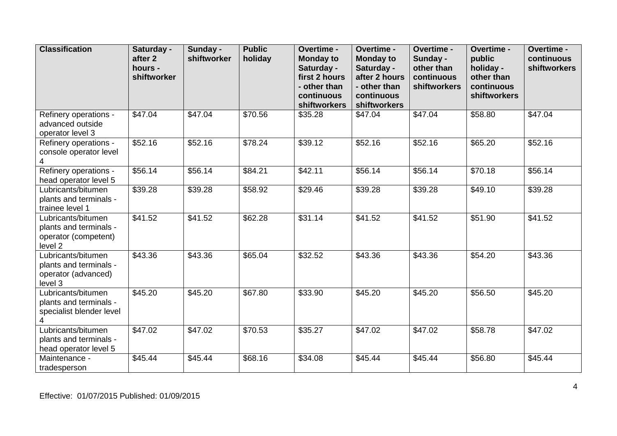| <b>Classification</b>                                                           | Saturday -<br>after 2<br>hours -<br>shiftworker | Sunday -<br>shiftworker | <b>Public</b><br>holiday | Overtime -<br><b>Monday to</b><br>Saturday -<br>first 2 hours<br>- other than<br>continuous<br>shiftworkers | Overtime -<br><b>Monday to</b><br>Saturday -<br>after 2 hours<br>- other than<br>continuous<br>shiftworkers | Overtime -<br>Sunday -<br>other than<br>continuous<br>shiftworkers | Overtime -<br>public<br>holiday -<br>other than<br>continuous<br>shiftworkers | Overtime -<br>continuous<br>shiftworkers |
|---------------------------------------------------------------------------------|-------------------------------------------------|-------------------------|--------------------------|-------------------------------------------------------------------------------------------------------------|-------------------------------------------------------------------------------------------------------------|--------------------------------------------------------------------|-------------------------------------------------------------------------------|------------------------------------------|
| Refinery operations -<br>advanced outside<br>operator level 3                   | \$47.04                                         | \$47.04                 | \$70.56                  | \$35.28                                                                                                     | \$47.04                                                                                                     | \$47.04                                                            | \$58.80                                                                       | \$47.04                                  |
| Refinery operations -<br>console operator level<br>4                            | \$52.16                                         | \$52.16                 | \$78.24                  | \$39.12                                                                                                     | \$52.16                                                                                                     | \$52.16                                                            | \$65.20                                                                       | \$52.16                                  |
| Refinery operations -<br>head operator level 5                                  | \$56.14                                         | \$56.14                 | \$84.21                  | \$42.11                                                                                                     | \$56.14                                                                                                     | \$56.14                                                            | \$70.18                                                                       | \$56.14                                  |
| Lubricants/bitumen<br>plants and terminals -<br>trainee level 1                 | \$39.28                                         | \$39.28                 | \$58.92                  | \$29.46                                                                                                     | \$39.28                                                                                                     | \$39.28                                                            | \$49.10                                                                       | \$39.28                                  |
| Lubricants/bitumen<br>plants and terminals -<br>operator (competent)<br>level 2 | \$41.52                                         | \$41.52                 | \$62.28                  | \$31.14                                                                                                     | \$41.52                                                                                                     | \$41.52                                                            | $\overline{$}51.90$                                                           | \$41.52                                  |
| Lubricants/bitumen<br>plants and terminals -<br>operator (advanced)<br>level 3  | \$43.36                                         | \$43.36                 | \$65.04                  | \$32.52                                                                                                     | \$43.36                                                                                                     | \$43.36                                                            | \$54.20                                                                       | \$43.36                                  |
| Lubricants/bitumen<br>plants and terminals -<br>specialist blender level        | $\overline{$}45.20$                             | \$45.20                 | \$67.80                  | \$33.90                                                                                                     | \$45.20                                                                                                     | \$45.20                                                            | \$56.50                                                                       | \$45.20                                  |
| Lubricants/bitumen<br>plants and terminals -<br>head operator level 5           | \$47.02                                         | \$47.02                 | \$70.53                  | \$35.27                                                                                                     | \$47.02                                                                                                     | \$47.02                                                            | \$58.78                                                                       | \$47.02                                  |
| Maintenance -<br>tradesperson                                                   | \$45.44                                         | \$45.44                 | \$68.16                  | \$34.08                                                                                                     | \$45.44                                                                                                     | \$45.44                                                            | \$56.80                                                                       | \$45.44                                  |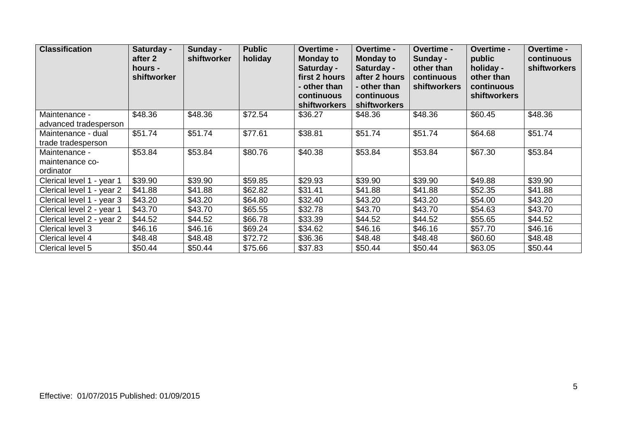| <b>Classification</b>                         | Saturday -<br>after 2<br>hours -<br>shiftworker | Sunday -<br>shiftworker | <b>Public</b><br>holiday | <b>Overtime -</b><br><b>Monday to</b><br>Saturday -<br>first 2 hours<br>- other than<br>continuous<br><b>shiftworkers</b> | Overtime -<br><b>Monday to</b><br>Saturday -<br>after 2 hours<br>- other than<br>continuous<br><b>shiftworkers</b> | <b>Overtime -</b><br>Sunday -<br>other than<br>continuous<br><b>shiftworkers</b> | Overtime -<br>public<br>holiday -<br>other than<br>continuous<br><b>shiftworkers</b> | Overtime -<br>continuous<br><b>shiftworkers</b> |
|-----------------------------------------------|-------------------------------------------------|-------------------------|--------------------------|---------------------------------------------------------------------------------------------------------------------------|--------------------------------------------------------------------------------------------------------------------|----------------------------------------------------------------------------------|--------------------------------------------------------------------------------------|-------------------------------------------------|
| Maintenance -<br>advanced tradesperson        | \$48.36                                         | \$48.36                 | \$72.54                  | \$36.27                                                                                                                   | \$48.36                                                                                                            | \$48.36                                                                          | \$60.45                                                                              | \$48.36                                         |
| Maintenance - dual<br>trade tradesperson      | \$51.74                                         | \$51.74                 | \$77.61                  | \$38.81                                                                                                                   | \$51.74                                                                                                            | \$51.74                                                                          | \$64.68                                                                              | \$51.74                                         |
| Maintenance -<br>maintenance co-<br>ordinator | \$53.84                                         | \$53.84                 | \$80.76                  | \$40.38                                                                                                                   | \$53.84                                                                                                            | \$53.84                                                                          | \$67.30                                                                              | \$53.84                                         |
| Clerical level 1 - year 1                     | \$39.90                                         | \$39.90                 | \$59.85                  | \$29.93                                                                                                                   | \$39.90                                                                                                            | \$39.90                                                                          | \$49.88                                                                              | \$39.90                                         |
| Clerical level 1 - year 2                     | \$41.88                                         | \$41.88                 | \$62.82                  | \$31.41                                                                                                                   | \$41.88                                                                                                            | \$41.88                                                                          | \$52.35                                                                              | \$41.88                                         |
| Clerical level 1 - year 3                     | \$43.20                                         | \$43.20                 | \$64.80                  | \$32.40                                                                                                                   | \$43.20                                                                                                            | \$43.20                                                                          | \$54.00                                                                              | \$43.20                                         |
| Clerical level 2 - year 1                     | \$43.70                                         | \$43.70                 | \$65.55                  | \$32.78                                                                                                                   | \$43.70                                                                                                            | \$43.70                                                                          | \$54.63                                                                              | \$43.70                                         |
| Clerical level 2 - year 2                     | \$44.52                                         | \$44.52                 | \$66.78                  | \$33.39                                                                                                                   | \$44.52                                                                                                            | \$44.52                                                                          | \$55.65                                                                              | \$44.52                                         |
| Clerical level 3                              | \$46.16                                         | \$46.16                 | \$69.24                  | \$34.62                                                                                                                   | \$46.16                                                                                                            | \$46.16                                                                          | \$57.70                                                                              | \$46.16                                         |
| Clerical level 4                              | \$48.48                                         | \$48.48                 | \$72.72                  | \$36.36                                                                                                                   | \$48.48                                                                                                            | \$48.48                                                                          | \$60.60                                                                              | \$48.48                                         |
| Clerical level 5                              | \$50.44                                         | \$50.44                 | \$75.66                  | \$37.83                                                                                                                   | \$50.44                                                                                                            | \$50.44                                                                          | \$63.05                                                                              | \$50.44                                         |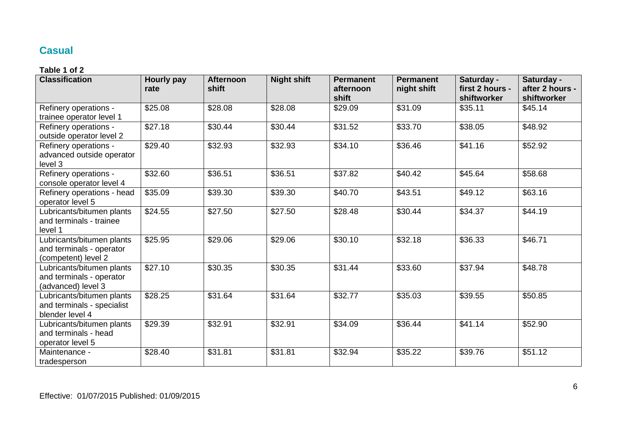## **Casual**

| <b>Classification</b>                                                        | <b>Hourly pay</b><br>rate | <b>Afternoon</b><br>shift | <b>Night shift</b> | <b>Permanent</b><br>afternoon<br>shift | <b>Permanent</b><br>night shift | Saturday -<br>first 2 hours -<br>shiftworker | Saturday -<br>after 2 hours -<br>shiftworker |
|------------------------------------------------------------------------------|---------------------------|---------------------------|--------------------|----------------------------------------|---------------------------------|----------------------------------------------|----------------------------------------------|
| Refinery operations -<br>trainee operator level 1                            | \$25.08                   | \$28.08                   | \$28.08            | \$29.09                                | \$31.09                         | \$35.11                                      | \$45.14                                      |
| Refinery operations -<br>outside operator level 2                            | \$27.18                   | \$30.44                   | \$30.44            | \$31.52                                | \$33.70                         | \$38.05                                      | \$48.92                                      |
| Refinery operations -<br>advanced outside operator<br>level 3                | \$29.40                   | \$32.93                   | \$32.93            | \$34.10                                | \$36.46                         | \$41.16                                      | \$52.92                                      |
| Refinery operations -<br>console operator level 4                            | \$32.60                   | \$36.51                   | \$36.51            | \$37.82                                | \$40.42                         | \$45.64                                      | \$58.68                                      |
| Refinery operations - head<br>operator level 5                               | \$35.09                   | \$39.30                   | \$39.30            | \$40.70                                | \$43.51                         | \$49.12                                      | \$63.16                                      |
| Lubricants/bitumen plants<br>and terminals - trainee<br>level 1              | \$24.55                   | \$27.50                   | \$27.50            | \$28.48                                | \$30.44                         | \$34.37                                      | \$44.19                                      |
| Lubricants/bitumen plants<br>and terminals - operator<br>(competent) level 2 | \$25.95                   | \$29.06                   | \$29.06            | \$30.10                                | \$32.18                         | \$36.33                                      | \$46.71                                      |
| Lubricants/bitumen plants<br>and terminals - operator<br>(advanced) level 3  | \$27.10                   | \$30.35                   | \$30.35            | \$31.44                                | \$33.60                         | \$37.94                                      | \$48.78                                      |
| Lubricants/bitumen plants<br>and terminals - specialist<br>blender level 4   | \$28.25                   | \$31.64                   | \$31.64            | \$32.77                                | \$35.03                         | \$39.55                                      | \$50.85                                      |
| Lubricants/bitumen plants<br>and terminals - head<br>operator level 5        | \$29.39                   | \$32.91                   | \$32.91            | \$34.09                                | \$36.44                         | \$41.14                                      | \$52.90                                      |
| Maintenance -<br>tradesperson                                                | \$28.40                   | \$31.81                   | \$31.81            | \$32.94                                | \$35.22                         | \$39.76                                      | \$51.12                                      |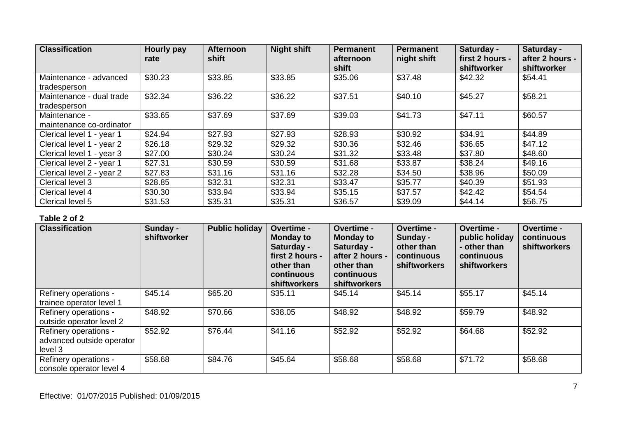| <b>Classification</b>     | <b>Hourly pay</b><br>rate | <b>Afternoon</b><br>shift | <b>Night shift</b> | <b>Permanent</b><br>afternoon | <b>Permanent</b><br>night shift | Saturday -<br>first 2 hours - | Saturday -<br>after 2 hours - |
|---------------------------|---------------------------|---------------------------|--------------------|-------------------------------|---------------------------------|-------------------------------|-------------------------------|
|                           |                           |                           |                    | shift                         |                                 | shiftworker                   | shiftworker                   |
| Maintenance - advanced    | \$30.23                   | \$33.85                   | \$33.85            | \$35.06                       | \$37.48                         | \$42.32                       | \$54.41                       |
| tradesperson              |                           |                           |                    |                               |                                 |                               |                               |
| Maintenance - dual trade  | \$32.34                   | \$36.22                   | \$36.22            | \$37.51                       | \$40.10                         | \$45.27                       | \$58.21                       |
| tradesperson              |                           |                           |                    |                               |                                 |                               |                               |
| Maintenance -             | \$33.65                   | \$37.69                   | \$37.69            | \$39.03                       | \$41.73                         | \$47.11                       | \$60.57                       |
| maintenance co-ordinator  |                           |                           |                    |                               |                                 |                               |                               |
| Clerical level 1 - year 1 | \$24.94                   | \$27.93                   | \$27.93            | \$28.93                       | \$30.92                         | \$34.91                       | \$44.89                       |
| Clerical level 1 - year 2 | \$26.18                   | \$29.32                   | \$29.32            | \$30.36                       | \$32.46                         | \$36.65                       | \$47.12                       |
| Clerical level 1 - year 3 | \$27.00                   | \$30.24                   | \$30.24            | \$31.32                       | \$33.48                         | \$37.80                       | \$48.60                       |
| Clerical level 2 - year 1 | \$27.31                   | \$30.59                   | \$30.59            | \$31.68                       | \$33.87                         | \$38.24                       | \$49.16                       |
| Clerical level 2 - year 2 | \$27.83                   | \$31.16                   | \$31.16            | \$32.28                       | \$34.50                         | \$38.96                       | \$50.09                       |
| Clerical level 3          | \$28.85                   | \$32.31                   | \$32.31            | \$33.47                       | \$35.77                         | \$40.39                       | \$51.93                       |
| Clerical level 4          | \$30.30                   | \$33.94                   | \$33.94            | \$35.15                       | \$37.57                         | \$42.42                       | \$54.54                       |
| Clerical level 5          | \$31.53                   | \$35.31                   | \$35.31            | \$36.57                       | \$39.09                         | \$44.14                       | \$56.75                       |

| <b>Classification</b>                                         | Sunday -<br>shiftworker | <b>Public holiday</b> | Overtime -<br><b>Monday to</b><br>Saturday -<br>first 2 hours -<br>other than<br>continuous<br>shiftworkers | Overtime -<br><b>Monday to</b><br>Saturday -<br>after 2 hours -<br>other than<br>continuous<br>shiftworkers | Overtime -<br>Sunday -<br>other than<br>continuous<br><b>shiftworkers</b> | <b>Overtime -</b><br>public holiday<br>- other than<br>continuous<br><b>shiftworkers</b> | Overtime -<br>continuous<br><b>shiftworkers</b> |
|---------------------------------------------------------------|-------------------------|-----------------------|-------------------------------------------------------------------------------------------------------------|-------------------------------------------------------------------------------------------------------------|---------------------------------------------------------------------------|------------------------------------------------------------------------------------------|-------------------------------------------------|
| Refinery operations -<br>trainee operator level 1             | \$45.14                 | \$65.20               | \$35.11                                                                                                     | \$45.14                                                                                                     | \$45.14                                                                   | \$55.17                                                                                  | \$45.14                                         |
| Refinery operations -<br>outside operator level 2             | \$48.92                 | \$70.66               | \$38.05                                                                                                     | \$48.92                                                                                                     | \$48.92                                                                   | \$59.79                                                                                  | \$48.92                                         |
| Refinery operations -<br>advanced outside operator<br>level 3 | \$52.92                 | \$76.44               | \$41.16                                                                                                     | \$52.92                                                                                                     | \$52.92                                                                   | \$64.68                                                                                  | \$52.92                                         |
| Refinery operations -<br>console operator level 4             | \$58.68                 | \$84.76               | \$45.64                                                                                                     | \$58.68                                                                                                     | \$58.68                                                                   | \$71.72                                                                                  | \$58.68                                         |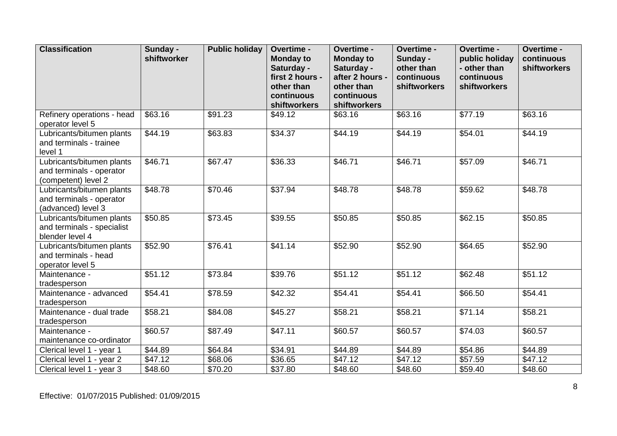| <b>Classification</b>                                                        | Sunday -<br>shiftworker | <b>Public holiday</b> | Overtime -<br><b>Monday to</b><br>Saturday -<br>first 2 hours -<br>other than<br>continuous<br>shiftworkers | Overtime -<br><b>Monday to</b><br>Saturday -<br>after 2 hours -<br>other than<br>continuous<br>shiftworkers | Overtime -<br>Sunday -<br>other than<br>continuous<br>shiftworkers | Overtime -<br>public holiday<br>- other than<br>continuous<br>shiftworkers | Overtime -<br>continuous<br>shiftworkers |
|------------------------------------------------------------------------------|-------------------------|-----------------------|-------------------------------------------------------------------------------------------------------------|-------------------------------------------------------------------------------------------------------------|--------------------------------------------------------------------|----------------------------------------------------------------------------|------------------------------------------|
| Refinery operations - head<br>operator level 5                               | \$63.16                 | \$91.23               | \$49.12                                                                                                     | \$63.16                                                                                                     | \$63.16                                                            | \$77.19                                                                    | \$63.16                                  |
| Lubricants/bitumen plants<br>and terminals - trainee<br>level 1              | \$44.19                 | \$63.83               | \$34.37                                                                                                     | \$44.19                                                                                                     | \$44.19                                                            | \$54.01                                                                    | \$44.19                                  |
| Lubricants/bitumen plants<br>and terminals - operator<br>(competent) level 2 | \$46.71                 | \$67.47               | \$36.33                                                                                                     | \$46.71                                                                                                     | \$46.71                                                            | \$57.09                                                                    | \$46.71                                  |
| Lubricants/bitumen plants<br>and terminals - operator<br>(advanced) level 3  | \$48.78                 | \$70.46               | \$37.94                                                                                                     | \$48.78                                                                                                     | \$48.78                                                            | \$59.62                                                                    | \$48.78                                  |
| Lubricants/bitumen plants<br>and terminals - specialist<br>blender level 4   | \$50.85                 | \$73.45               | \$39.55                                                                                                     | \$50.85                                                                                                     | \$50.85                                                            | \$62.15                                                                    | \$50.85                                  |
| Lubricants/bitumen plants<br>and terminals - head<br>operator level 5        | \$52.90                 | \$76.41               | \$41.14                                                                                                     | \$52.90                                                                                                     | \$52.90                                                            | \$64.65                                                                    | \$52.90                                  |
| Maintenance -<br>tradesperson                                                | \$51.12                 | \$73.84               | \$39.76                                                                                                     | \$51.12                                                                                                     | \$51.12                                                            | \$62.48                                                                    | \$51.12                                  |
| Maintenance - advanced<br>tradesperson                                       | \$54.41                 | \$78.59               | \$42.32                                                                                                     | \$54.41                                                                                                     | \$54.41                                                            | \$66.50                                                                    | \$54.41                                  |
| Maintenance - dual trade<br>tradesperson                                     | \$58.21                 | \$84.08               | \$45.27                                                                                                     | \$58.21                                                                                                     | \$58.21                                                            | \$71.14                                                                    | \$58.21                                  |
| Maintenance -<br>maintenance co-ordinator                                    | \$60.57                 | \$87.49               | \$47.11                                                                                                     | \$60.57                                                                                                     | \$60.57                                                            | \$74.03                                                                    | \$60.57                                  |
| Clerical level 1 - year 1                                                    | \$44.89                 | \$64.84               | \$34.91                                                                                                     | \$44.89                                                                                                     | \$44.89                                                            | \$54.86                                                                    | \$44.89                                  |
| Clerical level 1 - year 2                                                    | \$47.12                 | \$68.06               | \$36.65                                                                                                     | $\overline{$47.12}$                                                                                         | \$47.12                                                            | \$57.59                                                                    | \$47.12                                  |
| Clerical level 1 - year 3                                                    | \$48.60                 | \$70.20               | \$37.80                                                                                                     | \$48.60                                                                                                     | \$48.60                                                            | \$59.40                                                                    | \$48.60                                  |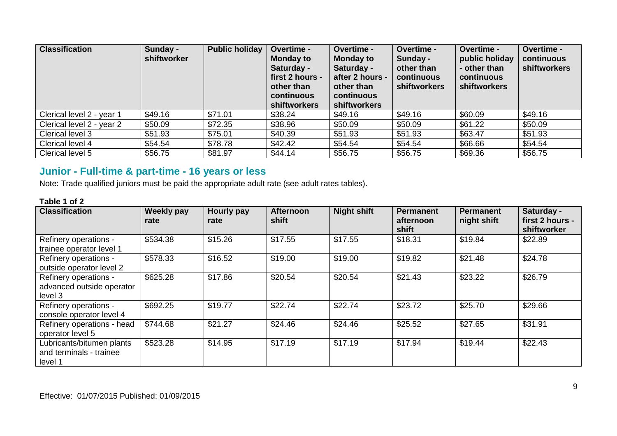| <b>Classification</b>     | Sunday -<br>shiftworker | <b>Public holiday</b> | <b>Overtime -</b><br><b>Monday to</b><br>Saturday -<br>first 2 hours -<br>other than<br>continuous<br><b>shiftworkers</b> | Overtime -<br><b>Monday to</b><br>Saturday -<br>after 2 hours -<br>other than<br>continuous<br><b>shiftworkers</b> | Overtime -<br>Sunday -<br>other than<br>continuous<br>shiftworkers | <b>Overtime -</b><br>public holiday<br>- other than<br>continuous<br>shiftworkers | Overtime -<br>continuous<br>shiftworkers |
|---------------------------|-------------------------|-----------------------|---------------------------------------------------------------------------------------------------------------------------|--------------------------------------------------------------------------------------------------------------------|--------------------------------------------------------------------|-----------------------------------------------------------------------------------|------------------------------------------|
| Clerical level 2 - year 1 | \$49.16                 | \$71.01               | \$38.24                                                                                                                   | \$49.16                                                                                                            | \$49.16                                                            | \$60.09                                                                           | \$49.16                                  |
| Clerical level 2 - year 2 | \$50.09                 | \$72.35               | \$38.96                                                                                                                   | \$50.09                                                                                                            | \$50.09                                                            | \$61.22                                                                           | \$50.09                                  |
| Clerical level 3          | \$51.93                 | \$75.01               | \$40.39                                                                                                                   | \$51.93                                                                                                            | \$51.93                                                            | \$63.47                                                                           | \$51.93                                  |
| Clerical level 4          | \$54.54                 | \$78.78               | \$42.42                                                                                                                   | \$54.54                                                                                                            | \$54.54                                                            | \$66.66                                                                           | \$54.54                                  |
| Clerical level 5          | \$56.75                 | \$81.97               | \$44.14                                                                                                                   | \$56.75                                                                                                            | \$56.75                                                            | \$69.36                                                                           | \$56.75                                  |

# **Junior - Full-time & part-time - 16 years or less**

Note: Trade qualified juniors must be paid the appropriate adult rate (see adult rates tables).

| <b>Classification</b>                                           | Weekly pay<br>rate | Hourly pay<br>rate | <b>Afternoon</b><br>shift | <b>Night shift</b> | Permanent<br>afternoon<br>shift | Permanent<br>night shift | Saturday -<br>first 2 hours -<br>shiftworker |
|-----------------------------------------------------------------|--------------------|--------------------|---------------------------|--------------------|---------------------------------|--------------------------|----------------------------------------------|
| Refinery operations -<br>trainee operator level 1               | \$534.38           | \$15.26            | \$17.55                   | \$17.55            | \$18.31                         | \$19.84                  | \$22.89                                      |
| Refinery operations -<br>outside operator level 2               | \$578.33           | \$16.52            | \$19.00                   | \$19.00            | \$19.82                         | \$21.48                  | \$24.78                                      |
| Refinery operations -<br>advanced outside operator<br>level 3   | \$625.28           | \$17.86            | \$20.54                   | \$20.54            | \$21.43                         | \$23.22                  | \$26.79                                      |
| Refinery operations -<br>console operator level 4               | \$692.25           | \$19.77            | \$22.74                   | \$22.74            | \$23.72                         | \$25.70                  | \$29.66                                      |
| Refinery operations - head<br>operator level 5                  | \$744.68           | \$21.27            | \$24.46                   | \$24.46            | \$25.52                         | \$27.65                  | \$31.91                                      |
| Lubricants/bitumen plants<br>and terminals - trainee<br>level 1 | \$523.28           | \$14.95            | \$17.19                   | \$17.19            | \$17.94                         | \$19.44                  | \$22.43                                      |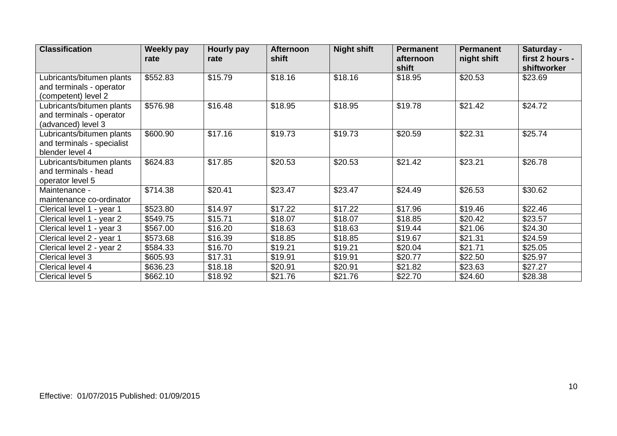| <b>Classification</b>      | Weekly pay<br>rate | Hourly pay<br>rate | <b>Afternoon</b><br>shift | <b>Night shift</b> | <b>Permanent</b><br>afternoon | <b>Permanent</b><br>night shift | Saturday -<br>first 2 hours - |
|----------------------------|--------------------|--------------------|---------------------------|--------------------|-------------------------------|---------------------------------|-------------------------------|
|                            |                    |                    |                           |                    | shift                         |                                 | shiftworker                   |
| Lubricants/bitumen plants  | \$552.83           | \$15.79            | \$18.16                   | \$18.16            | \$18.95                       | \$20.53                         | \$23.69                       |
| and terminals - operator   |                    |                    |                           |                    |                               |                                 |                               |
| (competent) level 2        |                    |                    |                           |                    |                               |                                 |                               |
| Lubricants/bitumen plants  | \$576.98           | \$16.48            | \$18.95                   | \$18.95            | \$19.78                       | \$21.42                         | \$24.72                       |
| and terminals - operator   |                    |                    |                           |                    |                               |                                 |                               |
| (advanced) level 3         |                    |                    |                           |                    |                               |                                 |                               |
| Lubricants/bitumen plants  | \$600.90           | \$17.16            | \$19.73                   | \$19.73            | \$20.59                       | \$22.31                         | \$25.74                       |
| and terminals - specialist |                    |                    |                           |                    |                               |                                 |                               |
| blender level 4            |                    |                    |                           |                    |                               |                                 |                               |
| Lubricants/bitumen plants  | \$624.83           | \$17.85            | \$20.53                   | \$20.53            | \$21.42                       | \$23.21                         | \$26.78                       |
| and terminals - head       |                    |                    |                           |                    |                               |                                 |                               |
| operator level 5           |                    |                    |                           |                    |                               |                                 |                               |
| Maintenance -              | \$714.38           | \$20.41            | \$23.47                   | \$23.47            | \$24.49                       | \$26.53                         | \$30.62                       |
| maintenance co-ordinator   |                    |                    |                           |                    |                               |                                 |                               |
| Clerical level 1 - year 1  | \$523.80           | \$14.97            | \$17.22                   | \$17.22            | \$17.96                       | \$19.46                         | \$22.46                       |
| Clerical level 1 - year 2  | \$549.75           | \$15.71            | \$18.07                   | \$18.07            | \$18.85                       | \$20.42                         | \$23.57                       |
| Clerical level 1 - year 3  | \$567.00           | \$16.20            | \$18.63                   | \$18.63            | \$19.44                       | \$21.06                         | \$24.30                       |
| Clerical level 2 - year 1  | \$573.68           | \$16.39            | \$18.85                   | \$18.85            | \$19.67                       | \$21.31                         | \$24.59                       |
| Clerical level 2 - year 2  | \$584.33           | \$16.70            | \$19.21                   | \$19.21            | \$20.04                       | \$21.71                         | \$25.05                       |
| Clerical level 3           | \$605.93           | \$17.31            | \$19.91                   | \$19.91            | \$20.77                       | \$22.50                         | \$25.97                       |
| Clerical level 4           | \$636.23           | \$18.18            | \$20.91                   | \$20.91            | \$21.82                       | \$23.63                         | \$27.27                       |
| Clerical level 5           | \$662.10           | \$18.92            | \$21.76                   | \$21.76            | \$22.70                       | \$24.60                         | \$28.38                       |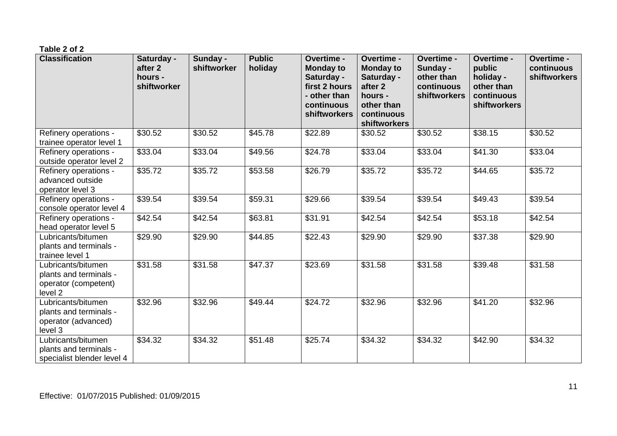| <b>Classification</b>                                                           | Saturday -<br>after 2<br>hours -<br>shiftworker | Sunday -<br>shiftworker | <b>Public</b><br>holiday | Overtime -<br><b>Monday to</b><br>Saturday -<br>first 2 hours<br>- other than<br>continuous<br><b>shiftworkers</b> | Overtime -<br><b>Monday to</b><br>Saturday -<br>after <sub>2</sub><br>hours -<br>other than<br>continuous<br><b>shiftworkers</b> | Overtime -<br>Sunday -<br>other than<br>continuous<br>shiftworkers | Overtime -<br>public<br>holiday -<br>other than<br>continuous<br><b>shiftworkers</b> | Overtime -<br>continuous<br>shiftworkers |
|---------------------------------------------------------------------------------|-------------------------------------------------|-------------------------|--------------------------|--------------------------------------------------------------------------------------------------------------------|----------------------------------------------------------------------------------------------------------------------------------|--------------------------------------------------------------------|--------------------------------------------------------------------------------------|------------------------------------------|
| Refinery operations -<br>trainee operator level 1                               | \$30.52                                         | \$30.52                 | \$45.78                  | \$22.89                                                                                                            | \$30.52                                                                                                                          | \$30.52                                                            | \$38.15                                                                              | \$30.52                                  |
| Refinery operations -<br>outside operator level 2                               | \$33.04                                         | \$33.04                 | \$49.56                  | \$24.78                                                                                                            | \$33.04                                                                                                                          | \$33.04                                                            | \$41.30                                                                              | \$33.04                                  |
| Refinery operations -<br>advanced outside<br>operator level 3                   | \$35.72                                         | \$35.72                 | \$53.58                  | \$26.79                                                                                                            | \$35.72                                                                                                                          | \$35.72                                                            | \$44.65                                                                              | \$35.72                                  |
| Refinery operations -<br>console operator level 4                               | \$39.54                                         | \$39.54                 | \$59.31                  | \$29.66                                                                                                            | \$39.54                                                                                                                          | \$39.54                                                            | \$49.43                                                                              | \$39.54                                  |
| Refinery operations -<br>head operator level 5                                  | \$42.54                                         | \$42.54                 | \$63.81                  | \$31.91                                                                                                            | \$42.54                                                                                                                          | \$42.54                                                            | \$53.18                                                                              | \$42.54                                  |
| Lubricants/bitumen<br>plants and terminals -<br>trainee level 1                 | \$29.90                                         | \$29.90                 | \$44.85                  | \$22.43                                                                                                            | \$29.90                                                                                                                          | \$29.90                                                            | \$37.38                                                                              | \$29.90                                  |
| Lubricants/bitumen<br>plants and terminals -<br>operator (competent)<br>level 2 | \$31.58                                         | \$31.58                 | \$47.37                  | \$23.69                                                                                                            | \$31.58                                                                                                                          | \$31.58                                                            | \$39.48                                                                              | \$31.58                                  |
| Lubricants/bitumen<br>plants and terminals -<br>operator (advanced)<br>level 3  | \$32.96                                         | \$32.96                 | \$49.44                  | \$24.72                                                                                                            | \$32.96                                                                                                                          | \$32.96                                                            | \$41.20                                                                              | \$32.96                                  |
| Lubricants/bitumen<br>plants and terminals -<br>specialist blender level 4      | \$34.32                                         | \$34.32                 | \$51.48                  | \$25.74                                                                                                            | \$34.32                                                                                                                          | \$34.32                                                            | \$42.90                                                                              | \$34.32                                  |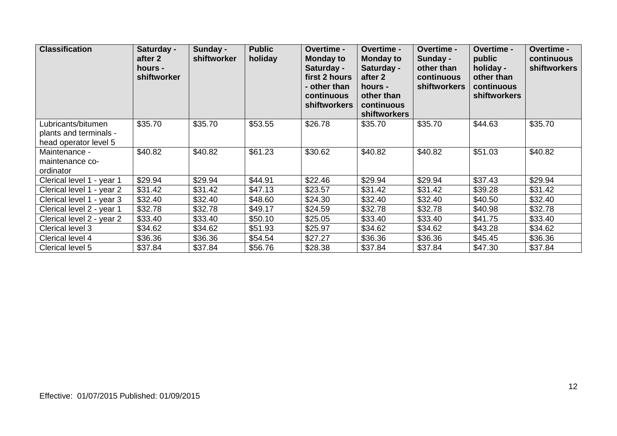| <b>Classification</b>                                                 | Saturday -<br>after 2<br>hours -<br>shiftworker | Sunday -<br>shiftworker | <b>Public</b><br>holiday | <b>Overtime -</b><br><b>Monday to</b><br>Saturday -<br>first 2 hours<br>- other than<br>continuous<br><b>shiftworkers</b> | <b>Overtime -</b><br><b>Monday to</b><br>Saturday -<br>after 2<br>hours -<br>other than<br>continuous<br><b>shiftworkers</b> | Overtime -<br>Sunday -<br>other than<br>continuous<br><b>shiftworkers</b> | <b>Overtime -</b><br>public<br>holiday -<br>other than<br>continuous<br><b>shiftworkers</b> | Overtime -<br>continuous<br><b>shiftworkers</b> |
|-----------------------------------------------------------------------|-------------------------------------------------|-------------------------|--------------------------|---------------------------------------------------------------------------------------------------------------------------|------------------------------------------------------------------------------------------------------------------------------|---------------------------------------------------------------------------|---------------------------------------------------------------------------------------------|-------------------------------------------------|
| Lubricants/bitumen<br>plants and terminals -<br>head operator level 5 | \$35.70                                         | \$35.70                 | \$53.55                  | \$26.78                                                                                                                   | \$35.70                                                                                                                      | \$35.70                                                                   | \$44.63                                                                                     | \$35.70                                         |
| Maintenance -<br>maintenance co-<br>ordinator                         | \$40.82                                         | \$40.82                 | \$61.23                  | \$30.62                                                                                                                   | \$40.82                                                                                                                      | \$40.82                                                                   | \$51.03                                                                                     | \$40.82                                         |
| Clerical level 1 - year 1                                             | \$29.94                                         | \$29.94                 | \$44.91                  | \$22.46                                                                                                                   | \$29.94                                                                                                                      | \$29.94                                                                   | \$37.43                                                                                     | \$29.94                                         |
| Clerical level 1 - year 2                                             | \$31.42                                         | \$31.42                 | \$47.13                  | \$23.57                                                                                                                   | \$31.42                                                                                                                      | \$31.42                                                                   | \$39.28                                                                                     | \$31.42                                         |
| Clerical level 1 - year 3                                             | \$32.40                                         | \$32.40                 | \$48.60                  | \$24.30                                                                                                                   | \$32.40                                                                                                                      | \$32.40                                                                   | \$40.50                                                                                     | \$32.40                                         |
| Clerical level 2 - year 1                                             | \$32.78                                         | \$32.78                 | \$49.17                  | \$24.59                                                                                                                   | \$32.78                                                                                                                      | \$32.78                                                                   | \$40.98                                                                                     | \$32.78                                         |
| Clerical level 2 - year 2                                             | \$33.40                                         | \$33.40                 | \$50.10                  | \$25.05                                                                                                                   | \$33.40                                                                                                                      | \$33.40                                                                   | \$41.75                                                                                     | \$33.40                                         |
| Clerical level 3                                                      | \$34.62                                         | \$34.62                 | \$51.93                  | \$25.97                                                                                                                   | \$34.62                                                                                                                      | \$34.62                                                                   | \$43.28                                                                                     | \$34.62                                         |
| Clerical level 4                                                      | \$36.36                                         | \$36.36                 | \$54.54                  | \$27.27                                                                                                                   | \$36.36                                                                                                                      | \$36.36                                                                   | \$45.45                                                                                     | \$36.36                                         |
| Clerical level 5                                                      | \$37.84                                         | \$37.84                 | \$56.76                  | \$28.38                                                                                                                   | \$37.84                                                                                                                      | \$37.84                                                                   | \$47.30                                                                                     | \$37.84                                         |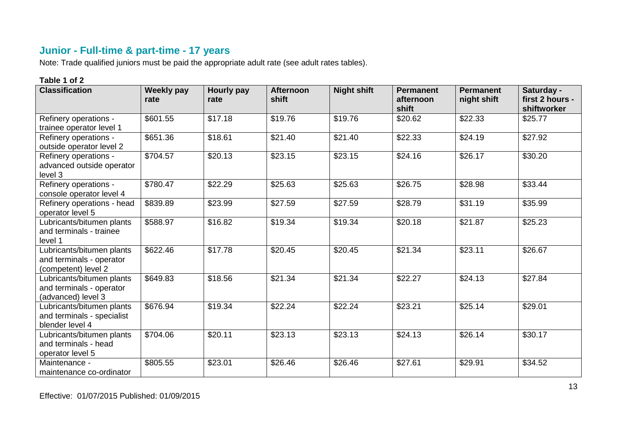## **Junior - Full-time & part-time - 17 years**

Note: Trade qualified juniors must be paid the appropriate adult rate (see adult rates tables).

| <b>Classification</b>                                                        | <b>Weekly pay</b><br>rate | Hourly pay<br>rate | <b>Afternoon</b><br>shift | <b>Night shift</b> | <b>Permanent</b><br>afternoon<br>shift | <b>Permanent</b><br>night shift | Saturday -<br>first 2 hours -<br>shiftworker |
|------------------------------------------------------------------------------|---------------------------|--------------------|---------------------------|--------------------|----------------------------------------|---------------------------------|----------------------------------------------|
| Refinery operations -<br>trainee operator level 1                            | \$601.55                  | \$17.18            | \$19.76                   | \$19.76            | \$20.62                                | \$22.33                         | \$25.77                                      |
| Refinery operations -<br>outside operator level 2                            | \$651.36                  | \$18.61            | \$21.40                   | \$21.40            | \$22.33                                | \$24.19                         | \$27.92                                      |
| Refinery operations -<br>advanced outside operator<br>level 3                | \$704.57                  | \$20.13            | \$23.15                   | \$23.15            | \$24.16                                | \$26.17                         | \$30.20                                      |
| Refinery operations -<br>console operator level 4                            | \$780.47                  | \$22.29            | \$25.63                   | \$25.63            | \$26.75                                | \$28.98                         | \$33.44                                      |
| Refinery operations - head<br>operator level 5                               | \$839.89                  | \$23.99            | \$27.59                   | \$27.59            | \$28.79                                | \$31.19                         | \$35.99                                      |
| Lubricants/bitumen plants<br>and terminals - trainee<br>level 1              | \$588.97                  | \$16.82            | \$19.34                   | \$19.34            | \$20.18                                | \$21.87                         | \$25.23                                      |
| Lubricants/bitumen plants<br>and terminals - operator<br>(competent) level 2 | \$622.46                  | \$17.78            | \$20.45                   | \$20.45            | \$21.34                                | \$23.11                         | \$26.67                                      |
| Lubricants/bitumen plants<br>and terminals - operator<br>(advanced) level 3  | \$649.83                  | \$18.56            | \$21.34                   | \$21.34            | \$22.27                                | \$24.13                         | \$27.84                                      |
| Lubricants/bitumen plants<br>and terminals - specialist<br>blender level 4   | \$676.94                  | \$19.34            | \$22.24                   | \$22.24            | \$23.21                                | \$25.14                         | \$29.01                                      |
| Lubricants/bitumen plants<br>and terminals - head<br>operator level 5        | \$704.06                  | \$20.11            | \$23.13                   | \$23.13            | \$24.13                                | \$26.14                         | \$30.17                                      |
| Maintenance -<br>maintenance co-ordinator                                    | \$805.55                  | \$23.01            | \$26.46                   | \$26.46            | \$27.61                                | \$29.91                         | \$34.52                                      |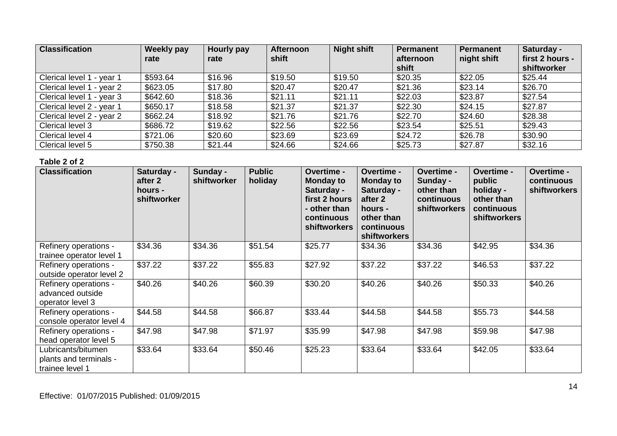| <b>Classification</b>     | <b>Weekly pay</b><br>rate | Hourly pay<br>rate | <b>Afternoon</b><br>shift | <b>Night shift</b> | Permanent<br>afternoon<br>shift | Permanent<br>night shift | Saturday -<br>first 2 hours -<br>shiftworker |
|---------------------------|---------------------------|--------------------|---------------------------|--------------------|---------------------------------|--------------------------|----------------------------------------------|
| Clerical level 1 - year 1 | \$593.64                  | \$16.96            | \$19.50                   | \$19.50            | \$20.35                         | \$22.05                  | \$25.44                                      |
| Clerical level 1 - year 2 | \$623.05                  | \$17.80            | \$20.47                   | \$20.47            | \$21.36                         | \$23.14                  | \$26.70                                      |
| Clerical level 1 - year 3 | \$642.60                  | \$18.36            | \$21.11                   | \$21.11            | \$22.03                         | \$23.87                  | \$27.54                                      |
| Clerical level 2 - year 1 | \$650.17                  | \$18.58            | \$21.37                   | \$21.37            | \$22.30                         | \$24.15                  | \$27.87                                      |
| Clerical level 2 - year 2 | \$662.24                  | \$18.92            | \$21.76                   | \$21.76            | \$22.70                         | \$24.60                  | \$28.38                                      |
| Clerical level 3          | \$686.72                  | \$19.62            | \$22.56                   | \$22.56            | \$23.54                         | \$25.51                  | \$29.43                                      |
| Clerical level 4          | \$721.06                  | \$20.60            | \$23.69                   | \$23.69            | \$24.72                         | \$26.78                  | \$30.90                                      |
| Clerical level 5          | \$750.38                  | \$21.44            | \$24.66                   | \$24.66            | \$25.73                         | \$27.87                  | \$32.16                                      |

| <b>Classification</b>                                           | Saturday -<br>after 2<br>hours -<br>shiftworker | Sunday -<br>shiftworker | <b>Public</b><br>holiday | <b>Overtime -</b><br><b>Monday to</b><br>Saturday -<br>first 2 hours<br>- other than<br>continuous<br><b>shiftworkers</b> | <b>Overtime -</b><br><b>Monday to</b><br>Saturday -<br>after 2<br>hours -<br>other than<br>continuous<br><b>shiftworkers</b> | <b>Overtime -</b><br>Sunday -<br>other than<br>continuous<br><b>shiftworkers</b> | <b>Overtime -</b><br>public<br>holiday -<br>other than<br>continuous<br><b>shiftworkers</b> | <b>Overtime -</b><br>continuous<br><b>shiftworkers</b> |
|-----------------------------------------------------------------|-------------------------------------------------|-------------------------|--------------------------|---------------------------------------------------------------------------------------------------------------------------|------------------------------------------------------------------------------------------------------------------------------|----------------------------------------------------------------------------------|---------------------------------------------------------------------------------------------|--------------------------------------------------------|
| Refinery operations -<br>trainee operator level 1               | \$34.36                                         | \$34.36                 | \$51.54                  | \$25.77                                                                                                                   | \$34.36                                                                                                                      | \$34.36                                                                          | \$42.95                                                                                     | \$34.36                                                |
| Refinery operations -<br>outside operator level 2               | \$37.22                                         | \$37.22                 | \$55.83                  | \$27.92                                                                                                                   | \$37.22                                                                                                                      | \$37.22                                                                          | \$46.53                                                                                     | \$37.22                                                |
| Refinery operations -<br>advanced outside<br>operator level 3   | \$40.26                                         | \$40.26                 | \$60.39                  | \$30.20                                                                                                                   | \$40.26                                                                                                                      | \$40.26                                                                          | \$50.33                                                                                     | \$40.26                                                |
| Refinery operations -<br>console operator level 4               | \$44.58                                         | \$44.58                 | \$66.87                  | \$33.44                                                                                                                   | \$44.58                                                                                                                      | \$44.58                                                                          | \$55.73                                                                                     | \$44.58                                                |
| Refinery operations -<br>head operator level 5                  | \$47.98                                         | \$47.98                 | \$71.97                  | \$35.99                                                                                                                   | \$47.98                                                                                                                      | \$47.98                                                                          | \$59.98                                                                                     | \$47.98                                                |
| Lubricants/bitumen<br>plants and terminals -<br>trainee level 1 | \$33.64                                         | \$33.64                 | \$50.46                  | \$25.23                                                                                                                   | \$33.64                                                                                                                      | \$33.64                                                                          | \$42.05                                                                                     | \$33.64                                                |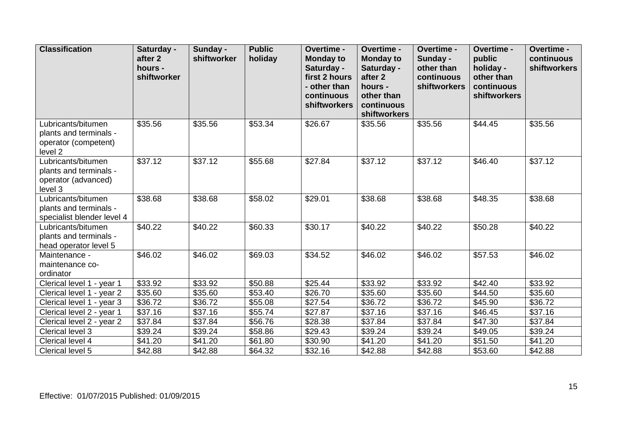| <b>Classification</b>                                                           | Saturday -<br>after 2<br>hours -<br>shiftworker | Sunday -<br>shiftworker | <b>Public</b><br>holiday | Overtime -<br><b>Monday to</b><br>Saturday -<br>first 2 hours<br>- other than<br>continuous<br><b>shiftworkers</b> | Overtime -<br><b>Monday to</b><br>Saturday -<br>after 2<br>hours -<br>other than<br>continuous<br>shiftworkers | Overtime -<br>Sunday -<br>other than<br>continuous<br>shiftworkers | Overtime -<br>public<br>holiday -<br>other than<br>continuous<br>shiftworkers | Overtime -<br>continuous<br>shiftworkers |
|---------------------------------------------------------------------------------|-------------------------------------------------|-------------------------|--------------------------|--------------------------------------------------------------------------------------------------------------------|----------------------------------------------------------------------------------------------------------------|--------------------------------------------------------------------|-------------------------------------------------------------------------------|------------------------------------------|
| Lubricants/bitumen<br>plants and terminals -<br>operator (competent)<br>level 2 | \$35.56                                         | \$35.56                 | \$53.34                  | \$26.67                                                                                                            | \$35.56                                                                                                        | \$35.56                                                            | \$44.45                                                                       | \$35.56                                  |
| Lubricants/bitumen<br>plants and terminals -<br>operator (advanced)<br>level 3  | \$37.12                                         | \$37.12                 | \$55.68                  | \$27.84                                                                                                            | \$37.12                                                                                                        | \$37.12                                                            | \$46.40                                                                       | \$37.12                                  |
| Lubricants/bitumen<br>plants and terminals -<br>specialist blender level 4      | \$38.68                                         | \$38.68                 | \$58.02                  | \$29.01                                                                                                            | \$38.68                                                                                                        | \$38.68                                                            | \$48.35                                                                       | \$38.68                                  |
| Lubricants/bitumen<br>plants and terminals -<br>head operator level 5           | $\overline{$}40.22$                             | \$40.22                 | \$60.33                  | \$30.17                                                                                                            | \$40.22                                                                                                        | \$40.22                                                            | \$50.28                                                                       | \$40.22                                  |
| Maintenance -<br>maintenance co-<br>ordinator                                   | \$46.02                                         | \$46.02                 | \$69.03                  | \$34.52                                                                                                            | \$46.02                                                                                                        | \$46.02                                                            | \$57.53                                                                       | \$46.02                                  |
| Clerical level 1 - year 1                                                       | \$33.92                                         | \$33.92                 | \$50.88                  | \$25.44                                                                                                            | \$33.92                                                                                                        | \$33.92                                                            | \$42.40                                                                       | \$33.92                                  |
| Clerical level 1 - year 2                                                       | \$35.60                                         | \$35.60                 | \$53.40                  | \$26.70                                                                                                            | \$35.60                                                                                                        | \$35.60                                                            | \$44.50                                                                       | \$35.60                                  |
| Clerical level 1 - year 3                                                       | \$36.72                                         | \$36.72                 | \$55.08                  | \$27.54                                                                                                            | \$36.72                                                                                                        | \$36.72                                                            | \$45.90                                                                       | \$36.72                                  |
| Clerical level 2 - year 1                                                       | \$37.16                                         | \$37.16                 | \$55.74                  | \$27.87                                                                                                            | \$37.16                                                                                                        | \$37.16                                                            | \$46.45                                                                       | \$37.16                                  |
| Clerical level 2 - year 2                                                       | \$37.84                                         | \$37.84                 | \$56.76                  | \$28.38                                                                                                            | \$37.84                                                                                                        | \$37.84                                                            | \$47.30                                                                       | \$37.84                                  |
| Clerical level 3                                                                | \$39.24                                         | \$39.24                 | \$58.86                  | \$29.43                                                                                                            | \$39.24                                                                                                        | \$39.24                                                            | \$49.05                                                                       | \$39.24                                  |
| Clerical level 4                                                                | \$41.20                                         | \$41.20                 | \$61.80                  | \$30.90                                                                                                            | \$41.20                                                                                                        | \$41.20                                                            | \$51.50                                                                       | \$41.20                                  |
| Clerical level 5                                                                | \$42.88                                         | \$42.88                 | \$64.32                  | \$32.16                                                                                                            | \$42.88                                                                                                        | \$42.88                                                            | \$53.60                                                                       | \$42.88                                  |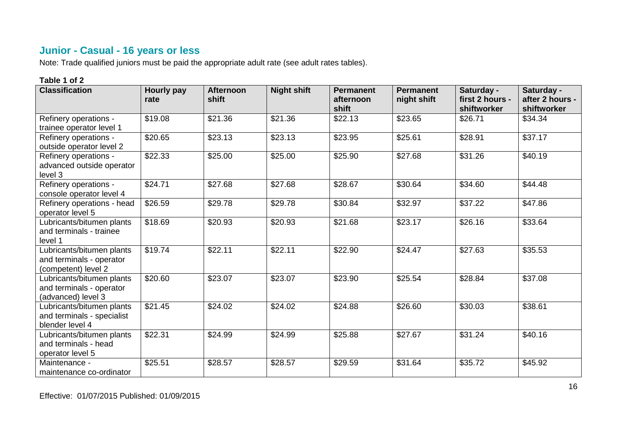## **Junior - Casual - 16 years or less**

Note: Trade qualified juniors must be paid the appropriate adult rate (see adult rates tables).

| <b>Classification</b>                                                        | <b>Hourly pay</b><br>rate | <b>Afternoon</b><br>shift | <b>Night shift</b> | <b>Permanent</b><br>afternoon<br>shift | <b>Permanent</b><br>night shift | Saturday -<br>first 2 hours -<br>shiftworker | Saturday -<br>after 2 hours -<br>shiftworker |
|------------------------------------------------------------------------------|---------------------------|---------------------------|--------------------|----------------------------------------|---------------------------------|----------------------------------------------|----------------------------------------------|
| Refinery operations -<br>trainee operator level 1                            | \$19.08                   | \$21.36                   | \$21.36            | \$22.13                                | \$23.65                         | \$26.71                                      | \$34.34                                      |
| Refinery operations -<br>outside operator level 2                            | \$20.65                   | \$23.13                   | \$23.13            | \$23.95                                | \$25.61                         | \$28.91                                      | \$37.17                                      |
| Refinery operations -<br>advanced outside operator<br>level 3                | \$22.33                   | \$25.00                   | \$25.00            | \$25.90                                | \$27.68                         | \$31.26                                      | \$40.19                                      |
| Refinery operations -<br>console operator level 4                            | \$24.71                   | \$27.68                   | \$27.68            | \$28.67                                | \$30.64                         | \$34.60                                      | \$44.48                                      |
| Refinery operations - head<br>operator level 5                               | \$26.59                   | \$29.78                   | \$29.78            | \$30.84                                | \$32.97                         | \$37.22                                      | \$47.86                                      |
| Lubricants/bitumen plants<br>and terminals - trainee<br>level 1              | \$18.69                   | \$20.93                   | \$20.93            | \$21.68                                | \$23.17                         | \$26.16                                      | \$33.64                                      |
| Lubricants/bitumen plants<br>and terminals - operator<br>(competent) level 2 | \$19.74                   | \$22.11                   | \$22.11            | \$22.90                                | \$24.47                         | \$27.63                                      | \$35.53                                      |
| Lubricants/bitumen plants<br>and terminals - operator<br>(advanced) level 3  | \$20.60                   | \$23.07                   | \$23.07            | \$23.90                                | \$25.54                         | \$28.84                                      | \$37.08                                      |
| Lubricants/bitumen plants<br>and terminals - specialist<br>blender level 4   | \$21.45                   | \$24.02                   | \$24.02            | \$24.88                                | \$26.60                         | \$30.03                                      | \$38.61                                      |
| Lubricants/bitumen plants<br>and terminals - head<br>operator level 5        | \$22.31                   | \$24.99                   | \$24.99            | \$25.88                                | \$27.67                         | \$31.24                                      | \$40.16                                      |
| Maintenance -<br>maintenance co-ordinator                                    | \$25.51                   | \$28.57                   | \$28.57            | \$29.59                                | \$31.64                         | \$35.72                                      | \$45.92                                      |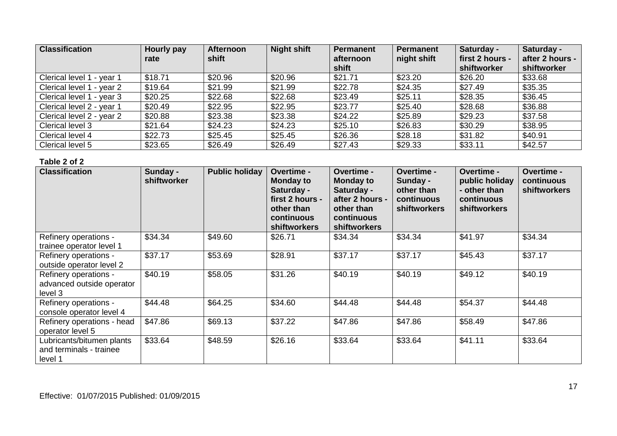| <b>Classification</b>     | Hourly pay | <b>Afternoon</b> | <b>Night shift</b> | Permanent          | Permanent   | Saturday -                     | Saturday -                     |
|---------------------------|------------|------------------|--------------------|--------------------|-------------|--------------------------------|--------------------------------|
|                           | rate       | shift            |                    | afternoon<br>shift | night shift | first 2 hours -<br>shiftworker | after 2 hours -<br>shiftworker |
| Clerical level 1 - year 1 | \$18.71    | \$20.96          | \$20.96            | \$21.71            | \$23.20     | \$26.20                        | \$33.68                        |
| Clerical level 1 - year 2 | \$19.64    | \$21.99          | \$21.99            | \$22.78            | \$24.35     | \$27.49                        | \$35.35                        |
| Clerical level 1 - year 3 | \$20.25    | \$22.68          | \$22.68            | \$23.49            | \$25.11     | \$28.35                        | \$36.45                        |
| Clerical level 2 - year 1 | \$20.49    | \$22.95          | \$22.95            | \$23.77            | \$25.40     | \$28.68                        | \$36.88                        |
| Clerical level 2 - year 2 | \$20.88    | \$23.38          | \$23.38            | \$24.22            | \$25.89     | \$29.23                        | \$37.58                        |
| Clerical level 3          | \$21.64    | \$24.23          | \$24.23            | \$25.10            | \$26.83     | \$30.29                        | \$38.95                        |
| Clerical level 4          | \$22.73    | \$25.45          | \$25.45            | \$26.36            | \$28.18     | \$31.82                        | \$40.91                        |
| Clerical level 5          | \$23.65    | \$26.49          | \$26.49            | \$27.43            | \$29.33     | \$33.11                        | \$42.57                        |

| <b>Classification</b>                                           | Sunday -<br>shiftworker | <b>Public holiday</b> | Overtime -<br><b>Monday to</b><br>Saturday -<br>first 2 hours -<br>other than<br>continuous<br><b>shiftworkers</b> | Overtime -<br><b>Monday to</b><br>Saturday -<br>after 2 hours -<br>other than<br>continuous<br><b>shiftworkers</b> | Overtime -<br>Sunday -<br>other than<br>continuous<br><b>shiftworkers</b> | <b>Overtime -</b><br>public holiday<br>- other than<br>continuous<br><b>shiftworkers</b> | Overtime -<br>continuous<br><b>shiftworkers</b> |
|-----------------------------------------------------------------|-------------------------|-----------------------|--------------------------------------------------------------------------------------------------------------------|--------------------------------------------------------------------------------------------------------------------|---------------------------------------------------------------------------|------------------------------------------------------------------------------------------|-------------------------------------------------|
| Refinery operations -<br>trainee operator level 1               | \$34.34                 | \$49.60               | \$26.71                                                                                                            | \$34.34                                                                                                            | \$34.34                                                                   | \$41.97                                                                                  | \$34.34                                         |
| Refinery operations -<br>outside operator level 2               | \$37.17                 | \$53.69               | \$28.91                                                                                                            | \$37.17                                                                                                            | \$37.17                                                                   | \$45.43                                                                                  | \$37.17                                         |
| Refinery operations -<br>advanced outside operator<br>level 3   | \$40.19                 | \$58.05               | \$31.26                                                                                                            | \$40.19                                                                                                            | \$40.19                                                                   | \$49.12                                                                                  | \$40.19                                         |
| Refinery operations -<br>console operator level 4               | \$44.48                 | \$64.25               | \$34.60                                                                                                            | \$44.48                                                                                                            | \$44.48                                                                   | \$54.37                                                                                  | \$44.48                                         |
| Refinery operations - head<br>operator level 5                  | \$47.86                 | \$69.13               | \$37.22                                                                                                            | \$47.86                                                                                                            | \$47.86                                                                   | \$58.49                                                                                  | \$47.86                                         |
| Lubricants/bitumen plants<br>and terminals - trainee<br>level 1 | \$33.64                 | \$48.59               | \$26.16                                                                                                            | \$33.64                                                                                                            | \$33.64                                                                   | \$41.11                                                                                  | \$33.64                                         |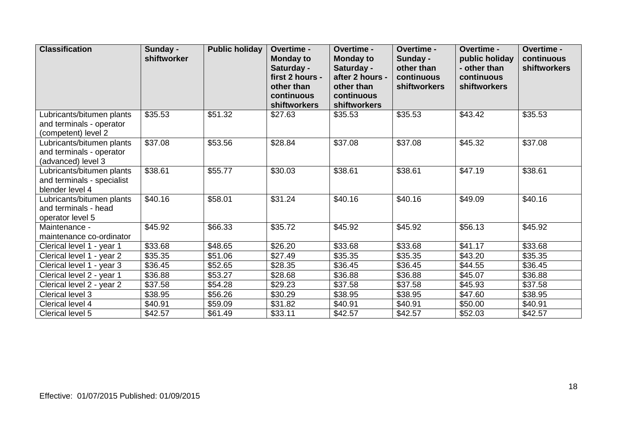| <b>Classification</b>                                                        | Sunday -<br>shiftworker | <b>Public holiday</b> | <b>Overtime -</b><br><b>Monday to</b><br>Saturday -<br>first 2 hours -<br>other than | Overtime -<br><b>Monday to</b><br>Saturday -<br>after 2 hours -<br>other than | <b>Overtime -</b><br>Sunday -<br>other than<br>continuous<br><b>shiftworkers</b> | Overtime -<br>public holiday<br>- other than<br>continuous<br><b>shiftworkers</b> | Overtime -<br>continuous<br><b>shiftworkers</b> |
|------------------------------------------------------------------------------|-------------------------|-----------------------|--------------------------------------------------------------------------------------|-------------------------------------------------------------------------------|----------------------------------------------------------------------------------|-----------------------------------------------------------------------------------|-------------------------------------------------|
|                                                                              |                         |                       | continuous<br>shiftworkers                                                           | continuous<br>shiftworkers                                                    |                                                                                  |                                                                                   |                                                 |
| Lubricants/bitumen plants<br>and terminals - operator<br>(competent) level 2 | \$35.53                 | \$51.32               | \$27.63                                                                              | \$35.53                                                                       | \$35.53                                                                          | \$43.42                                                                           | \$35.53                                         |
| Lubricants/bitumen plants<br>and terminals - operator<br>(advanced) level 3  | \$37.08                 | \$53.56               | \$28.84                                                                              | \$37.08                                                                       | \$37.08                                                                          | \$45.32                                                                           | \$37.08                                         |
| Lubricants/bitumen plants<br>and terminals - specialist<br>blender level 4   | \$38.61                 | \$55.77               | \$30.03                                                                              | \$38.61                                                                       | \$38.61                                                                          | \$47.19                                                                           | \$38.61                                         |
| Lubricants/bitumen plants<br>and terminals - head<br>operator level 5        | \$40.16                 | \$58.01               | \$31.24                                                                              | \$40.16                                                                       | \$40.16                                                                          | \$49.09                                                                           | \$40.16                                         |
| Maintenance -<br>maintenance co-ordinator                                    | \$45.92                 | \$66.33               | \$35.72                                                                              | \$45.92                                                                       | \$45.92                                                                          | \$56.13                                                                           | \$45.92                                         |
| Clerical level 1 - year 1                                                    | \$33.68                 | \$48.65               | \$26.20                                                                              | \$33.68                                                                       | \$33.68                                                                          | \$41.17                                                                           | \$33.68                                         |
| Clerical level 1 - year 2                                                    | \$35.35                 | \$51.06               | \$27.49                                                                              | \$35.35                                                                       | \$35.35                                                                          | \$43.20                                                                           | \$35.35                                         |
| Clerical level 1 - year 3                                                    | \$36.45                 | \$52.65               | \$28.35                                                                              | \$36.45                                                                       | \$36.45                                                                          | \$44.55                                                                           | \$36.45                                         |
| Clerical level 2 - year 1                                                    | \$36.88                 | \$53.27               | \$28.68                                                                              | \$36.88                                                                       | \$36.88                                                                          | \$45.07                                                                           | \$36.88                                         |
| Clerical level 2 - year 2                                                    | \$37.58                 | \$54.28               | \$29.23                                                                              | \$37.58                                                                       | \$37.58                                                                          | \$45.93                                                                           | \$37.58                                         |
| Clerical level 3                                                             | \$38.95                 | \$56.26               | \$30.29                                                                              | \$38.95                                                                       | \$38.95                                                                          | \$47.60                                                                           | \$38.95                                         |
| Clerical level 4                                                             | \$40.91                 | \$59.09               | \$31.82                                                                              | \$40.91                                                                       | \$40.91                                                                          | \$50.00                                                                           | \$40.91                                         |
| Clerical level 5                                                             | \$42.57                 | \$61.49               | \$33.11                                                                              | \$42.57                                                                       | \$42.57                                                                          | \$52.03                                                                           | \$42.57                                         |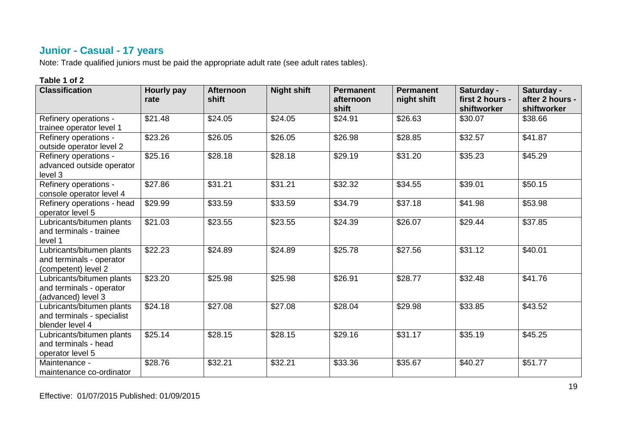## **Junior - Casual - 17 years**

Note: Trade qualified juniors must be paid the appropriate adult rate (see adult rates tables).

| <b>Classification</b>                                                        | Hourly pay<br>rate | <b>Afternoon</b><br>shift | <b>Night shift</b> | <b>Permanent</b><br>afternoon<br>shift | <b>Permanent</b><br>night shift | Saturday -<br>first 2 hours -<br>shiftworker | Saturday -<br>after 2 hours -<br>shiftworker |
|------------------------------------------------------------------------------|--------------------|---------------------------|--------------------|----------------------------------------|---------------------------------|----------------------------------------------|----------------------------------------------|
| Refinery operations -<br>trainee operator level 1                            | \$21.48            | \$24.05                   | \$24.05            | \$24.91                                | \$26.63                         | \$30.07                                      | \$38.66                                      |
| Refinery operations -<br>outside operator level 2                            | \$23.26            | \$26.05                   | \$26.05            | \$26.98                                | \$28.85                         | \$32.57                                      | \$41.87                                      |
| Refinery operations -<br>advanced outside operator<br>level 3                | \$25.16            | \$28.18                   | \$28.18            | \$29.19                                | \$31.20                         | \$35.23                                      | \$45.29                                      |
| Refinery operations -<br>console operator level 4                            | \$27.86            | \$31.21                   | \$31.21            | \$32.32                                | \$34.55                         | \$39.01                                      | \$50.15                                      |
| Refinery operations - head<br>operator level 5                               | \$29.99            | \$33.59                   | \$33.59            | \$34.79                                | \$37.18                         | \$41.98                                      | \$53.98                                      |
| Lubricants/bitumen plants<br>and terminals - trainee<br>level 1              | \$21.03            | \$23.55                   | \$23.55            | \$24.39                                | \$26.07                         | \$29.44                                      | \$37.85                                      |
| Lubricants/bitumen plants<br>and terminals - operator<br>(competent) level 2 | \$22.23            | \$24.89                   | \$24.89            | \$25.78                                | \$27.56                         | \$31.12                                      | \$40.01                                      |
| Lubricants/bitumen plants<br>and terminals - operator<br>(advanced) level 3  | \$23.20            | \$25.98                   | \$25.98            | \$26.91                                | \$28.77                         | \$32.48                                      | \$41.76                                      |
| Lubricants/bitumen plants<br>and terminals - specialist<br>blender level 4   | \$24.18            | \$27.08                   | \$27.08            | \$28.04                                | \$29.98                         | \$33.85                                      | \$43.52                                      |
| Lubricants/bitumen plants<br>and terminals - head<br>operator level 5        | \$25.14            | \$28.15                   | \$28.15            | \$29.16                                | \$31.17                         | \$35.19                                      | \$45.25                                      |
| Maintenance -<br>maintenance co-ordinator                                    | \$28.76            | \$32.21                   | \$32.21            | \$33.36                                | \$35.67                         | \$40.27                                      | \$51.77                                      |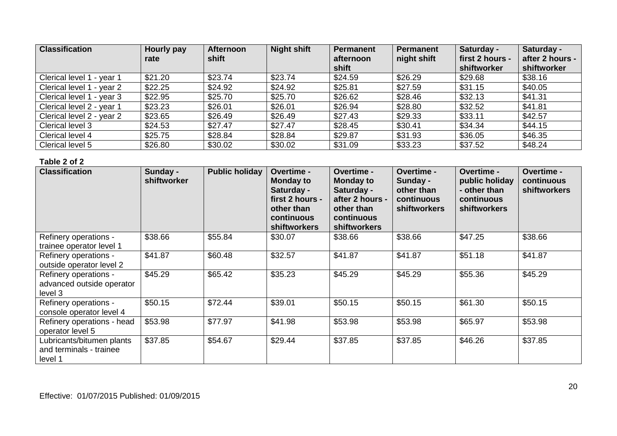| <b>Classification</b>     | Hourly pay | <b>Afternoon</b> | <b>Night shift</b> | Permanent          | Permanent   | Saturday -                     | Saturday -                     |
|---------------------------|------------|------------------|--------------------|--------------------|-------------|--------------------------------|--------------------------------|
|                           | rate       | shift            |                    | afternoon<br>shift | night shift | first 2 hours -<br>shiftworker | after 2 hours -<br>shiftworker |
| Clerical level 1 - year 1 | \$21.20    | \$23.74          | \$23.74            | \$24.59            | \$26.29     | \$29.68                        | \$38.16                        |
| Clerical level 1 - year 2 | \$22.25    | \$24.92          | \$24.92            | \$25.81            | \$27.59     | \$31.15                        | \$40.05                        |
| Clerical level 1 - year 3 | \$22.95    | \$25.70          | \$25.70            | \$26.62            | \$28.46     | \$32.13                        | \$41.31                        |
| Clerical level 2 - year 1 | \$23.23    | \$26.01          | \$26.01            | \$26.94            | \$28.80     | \$32.52                        | \$41.81                        |
| Clerical level 2 - year 2 | \$23.65    | \$26.49          | \$26.49            | \$27.43            | \$29.33     | \$33.11                        | \$42.57                        |
| Clerical level 3          | \$24.53    | \$27.47          | \$27.47            | \$28.45            | \$30.41     | \$34.34                        | \$44.15                        |
| Clerical level 4          | \$25.75    | \$28.84          | \$28.84            | \$29.87            | \$31.93     | \$36.05                        | \$46.35                        |
| Clerical level 5          | \$26.80    | \$30.02          | \$30.02            | \$31.09            | \$33.23     | \$37.52                        | \$48.24                        |

| <b>Classification</b>                                           | Sunday -<br>shiftworker | <b>Public holiday</b> | <b>Overtime -</b><br><b>Monday to</b><br>Saturday -<br>first 2 hours -<br>other than<br>continuous<br><b>shiftworkers</b> | <b>Overtime -</b><br><b>Monday to</b><br>Saturday -<br>after 2 hours -<br>other than<br>continuous<br>shiftworkers | <b>Overtime -</b><br>Sunday -<br>other than<br>continuous<br><b>shiftworkers</b> | <b>Overtime -</b><br>public holiday<br>- other than<br>continuous<br><b>shiftworkers</b> | <b>Overtime -</b><br>continuous<br><b>shiftworkers</b> |
|-----------------------------------------------------------------|-------------------------|-----------------------|---------------------------------------------------------------------------------------------------------------------------|--------------------------------------------------------------------------------------------------------------------|----------------------------------------------------------------------------------|------------------------------------------------------------------------------------------|--------------------------------------------------------|
| Refinery operations -<br>trainee operator level 1               | \$38.66                 | \$55.84               | \$30.07                                                                                                                   | \$38.66                                                                                                            | \$38.66                                                                          | \$47.25                                                                                  | \$38.66                                                |
| Refinery operations -<br>outside operator level 2               | \$41.87                 | \$60.48               | \$32.57                                                                                                                   | \$41.87                                                                                                            | \$41.87                                                                          | \$51.18                                                                                  | \$41.87                                                |
| Refinery operations -<br>advanced outside operator<br>level 3   | \$45.29                 | \$65.42               | \$35.23                                                                                                                   | \$45.29                                                                                                            | \$45.29                                                                          | \$55.36                                                                                  | \$45.29                                                |
| Refinery operations -<br>console operator level 4               | \$50.15                 | \$72.44               | \$39.01                                                                                                                   | \$50.15                                                                                                            | \$50.15                                                                          | \$61.30                                                                                  | \$50.15                                                |
| Refinery operations - head<br>operator level 5                  | \$53.98                 | \$77.97               | \$41.98                                                                                                                   | \$53.98                                                                                                            | \$53.98                                                                          | \$65.97                                                                                  | \$53.98                                                |
| Lubricants/bitumen plants<br>and terminals - trainee<br>level 1 | \$37.85                 | \$54.67               | \$29.44                                                                                                                   | \$37.85                                                                                                            | \$37.85                                                                          | \$46.26                                                                                  | \$37.85                                                |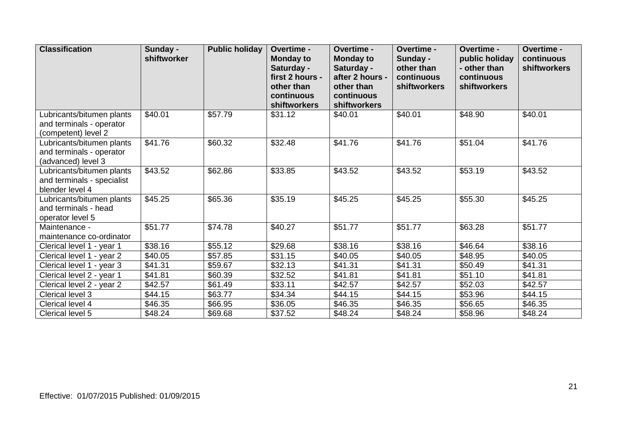| <b>Classification</b>                                                        | Sunday -<br>shiftworker | <b>Public holiday</b> | <b>Overtime -</b><br><b>Monday to</b><br>Saturday -<br>first 2 hours -<br>other than<br>continuous<br>shiftworkers | Overtime -<br><b>Monday to</b><br>Saturday -<br>after 2 hours -<br>other than<br>continuous<br>shiftworkers | <b>Overtime -</b><br>Sunday -<br>other than<br>continuous<br><b>shiftworkers</b> | Overtime -<br>public holiday<br>- other than<br>continuous<br><b>shiftworkers</b> | Overtime -<br>continuous<br><b>shiftworkers</b> |
|------------------------------------------------------------------------------|-------------------------|-----------------------|--------------------------------------------------------------------------------------------------------------------|-------------------------------------------------------------------------------------------------------------|----------------------------------------------------------------------------------|-----------------------------------------------------------------------------------|-------------------------------------------------|
| Lubricants/bitumen plants<br>and terminals - operator<br>(competent) level 2 | \$40.01                 | \$57.79               | \$31.12                                                                                                            | \$40.01                                                                                                     | \$40.01                                                                          | \$48.90                                                                           | \$40.01                                         |
| Lubricants/bitumen plants<br>and terminals - operator<br>(advanced) level 3  | \$41.76                 | \$60.32               | \$32.48                                                                                                            | \$41.76                                                                                                     | \$41.76                                                                          | \$51.04                                                                           | \$41.76                                         |
| Lubricants/bitumen plants<br>and terminals - specialist<br>blender level 4   | \$43.52                 | \$62.86               | \$33.85                                                                                                            | \$43.52                                                                                                     | \$43.52                                                                          | \$53.19                                                                           | \$43.52                                         |
| Lubricants/bitumen plants<br>and terminals - head<br>operator level 5        | \$45.25                 | \$65.36               | \$35.19                                                                                                            | \$45.25                                                                                                     | \$45.25                                                                          | \$55.30                                                                           | \$45.25                                         |
| Maintenance -<br>maintenance co-ordinator                                    | \$51.77                 | \$74.78               | \$40.27                                                                                                            | \$51.77                                                                                                     | \$51.77                                                                          | \$63.28                                                                           | \$51.77                                         |
| Clerical level 1 - year 1                                                    | \$38.16                 | \$55.12               | \$29.68                                                                                                            | \$38.16                                                                                                     | $\overline{$}38.16$                                                              | \$46.64                                                                           | \$38.16                                         |
| Clerical level 1 - year 2                                                    | \$40.05                 | \$57.85               | \$31.15                                                                                                            | \$40.05                                                                                                     | \$40.05                                                                          | \$48.95                                                                           | \$40.05                                         |
| Clerical level 1 - year 3                                                    | \$41.31                 | \$59.67               | \$32.13                                                                                                            | \$41.31                                                                                                     | \$41.31                                                                          | \$50.49                                                                           | \$41.31                                         |
| Clerical level 2 - year 1                                                    | \$41.81                 | \$60.39               | \$32.52                                                                                                            | \$41.81                                                                                                     | \$41.81                                                                          | \$51.10                                                                           | \$41.81                                         |
| Clerical level 2 - year 2                                                    | \$42.57                 | \$61.49               | \$33.11                                                                                                            | \$42.57                                                                                                     | \$42.57                                                                          | \$52.03                                                                           | \$42.57                                         |
| Clerical level 3                                                             | \$44.15                 | \$63.77               | \$34.34                                                                                                            | \$44.15                                                                                                     | \$44.15                                                                          | \$53.96                                                                           | \$44.15                                         |
| Clerical level 4                                                             | \$46.35                 | \$66.95               | \$36.05                                                                                                            | \$46.35                                                                                                     | \$46.35                                                                          | \$56.65                                                                           | \$46.35                                         |
| Clerical level 5                                                             | \$48.24                 | \$69.68               | \$37.52                                                                                                            | \$48.24                                                                                                     | \$48.24                                                                          | \$58.96                                                                           | \$48.24                                         |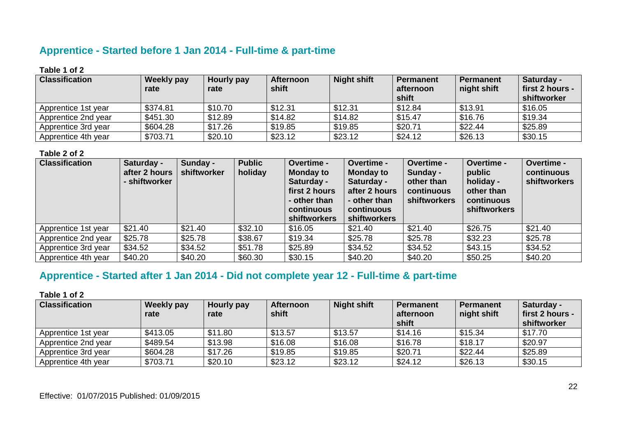## **Apprentice - Started before 1 Jan 2014 - Full-time & part-time**

#### **Table 1 of 2**

| <b>Classification</b> | <b>Weekly pay</b><br>rate | Hourly pay<br>rate | <b>Afternoon</b><br>shift | <b>Night shift</b> | <b>Permanent</b><br>afternoon<br>shift | <b>Permanent</b><br>night shift | Saturday -<br><b>first 2 hours -</b><br>shiftworker |
|-----------------------|---------------------------|--------------------|---------------------------|--------------------|----------------------------------------|---------------------------------|-----------------------------------------------------|
| Apprentice 1st year   | \$374.81                  | \$10.70            | \$12.31                   | \$12.31            | \$12.84                                | \$13.91                         | \$16.05                                             |
| Apprentice 2nd year   | \$451.30                  | \$12.89            | \$14.82                   | \$14.82            | \$15.47                                | \$16.76                         | \$19.34                                             |
| Apprentice 3rd year   | \$604.28                  | \$17.26            | \$19.85                   | \$19.85            | \$20.71                                | \$22.44                         | \$25.89                                             |
| Apprentice 4th year   | \$703.71                  | \$20.10            | \$23.12                   | \$23.12            | \$24.12                                | \$26.13                         | \$30.15                                             |

#### **Table 2 of 2**

| <b>Classification</b> | Saturday -<br>after 2 hours<br>- shiftworker | Sunday -<br>shiftworker | <b>Public</b><br>holiday | Overtime -<br><b>Monday to</b><br>Saturday -<br>first 2 hours<br>- other than<br>continuous<br><b>shiftworkers</b> | Overtime -<br><b>Monday to</b><br>Saturday -<br>after 2 hours<br>- other than<br>continuous<br>shiftworkers | Overtime -<br>Sunday -<br>other than<br>continuous<br>shiftworkers | Overtime -<br>public<br>holiday -<br>other than<br>continuous<br><b>shiftworkers</b> | Overtime -<br>continuous<br>shiftworkers |
|-----------------------|----------------------------------------------|-------------------------|--------------------------|--------------------------------------------------------------------------------------------------------------------|-------------------------------------------------------------------------------------------------------------|--------------------------------------------------------------------|--------------------------------------------------------------------------------------|------------------------------------------|
| Apprentice 1st year   | \$21.40                                      | \$21.40                 | \$32.10                  | \$16.05                                                                                                            | \$21.40                                                                                                     | \$21.40                                                            | \$26.75                                                                              | \$21.40                                  |
| Apprentice 2nd year   | \$25.78                                      | \$25.78                 | \$38.67                  | \$19.34                                                                                                            | \$25.78                                                                                                     | \$25.78                                                            | \$32.23                                                                              | \$25.78                                  |
| Apprentice 3rd year   | \$34.52                                      | \$34.52                 | \$51.78                  | \$25.89                                                                                                            | \$34.52                                                                                                     | \$34.52                                                            | \$43.15                                                                              | \$34.52                                  |
| Apprentice 4th year   | \$40.20                                      | \$40.20                 | \$60.30                  | \$30.15                                                                                                            | \$40.20                                                                                                     | \$40.20                                                            | \$50.25                                                                              | \$40.20                                  |

# **Apprentice - Started after 1 Jan 2014 - Did not complete year 12 - Full-time & part-time**

| <b>Classification</b> | <b>Weekly pay</b> | Hourly pay | <b>Afternoon</b> | <b>Night shift</b> | <b>Permanent</b> | <b>Permanent</b> | Saturday -      |
|-----------------------|-------------------|------------|------------------|--------------------|------------------|------------------|-----------------|
|                       | rate              | rate       | shift            |                    | afternoon        | night shift      | first 2 hours - |
|                       |                   |            |                  |                    | shift            |                  | shiftworker     |
| Apprentice 1st year   | \$413.05          | \$11.80    | \$13.57          | \$13.57            | \$14.16          | \$15.34          | \$17.70         |
| Apprentice 2nd year   | \$489.54          | \$13.98    | \$16.08          | \$16.08            | \$16.78          | \$18.17          | \$20.97         |
| Apprentice 3rd year   | \$604.28          | \$17.26    | \$19.85          | \$19.85            | \$20.71          | \$22.44          | \$25.89         |
| Apprentice 4th year   | \$703.71          | \$20.10    | \$23.12          | \$23.12            | \$24.12          | \$26.13          | \$30.15         |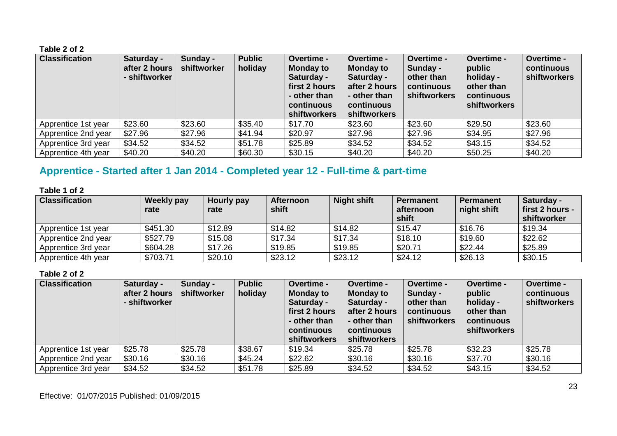| <b>Classification</b> | Saturday -<br>after 2 hours<br>- shiftworker | Sunday -<br>shiftworker | <b>Public</b><br>holiday | Overtime -<br><b>Monday to</b><br>Saturday -<br>first 2 hours<br>- other than<br>continuous<br><b>shiftworkers</b> | Overtime -<br><b>Monday to</b><br>Saturday -<br>after 2 hours<br>- other than<br>continuous<br>shiftworkers | Overtime -<br>Sunday -<br>other than<br>continuous<br><b>shiftworkers</b> | Overtime -<br>public<br>holiday -<br>other than<br>continuous<br><b>shiftworkers</b> | Overtime -<br>continuous<br><b>shiftworkers</b> |
|-----------------------|----------------------------------------------|-------------------------|--------------------------|--------------------------------------------------------------------------------------------------------------------|-------------------------------------------------------------------------------------------------------------|---------------------------------------------------------------------------|--------------------------------------------------------------------------------------|-------------------------------------------------|
| Apprentice 1st year   | \$23.60                                      | \$23.60                 | \$35.40                  | \$17.70                                                                                                            | \$23.60                                                                                                     | \$23.60                                                                   | \$29.50                                                                              | \$23.60                                         |
| Apprentice 2nd year   | \$27.96                                      | \$27.96                 | \$41.94                  | \$20.97                                                                                                            | \$27.96                                                                                                     | \$27.96                                                                   | \$34.95                                                                              | \$27.96                                         |
| Apprentice 3rd year   | \$34.52                                      | \$34.52                 | \$51.78                  | \$25.89                                                                                                            | \$34.52                                                                                                     | \$34.52                                                                   | \$43.15                                                                              | \$34.52                                         |
| Apprentice 4th year   | \$40.20                                      | \$40.20                 | \$60.30                  | \$30.15                                                                                                            | \$40.20                                                                                                     | \$40.20                                                                   | \$50.25                                                                              | \$40.20                                         |

## **Apprentice - Started after 1 Jan 2014 - Completed year 12 - Full-time & part-time**

#### **Table 1 of 2**

| <b>Classification</b> | Weekly pay<br>rate | Hourly pay<br>rate | <b>Afternoon</b><br>shift | <b>Night shift</b> | <b>Permanent</b><br>afternoon<br>shift | <b>Permanent</b><br>night shift | Saturday -<br>first 2 hours -<br>shiftworker |
|-----------------------|--------------------|--------------------|---------------------------|--------------------|----------------------------------------|---------------------------------|----------------------------------------------|
| Apprentice 1st year   | \$451.30           | \$12.89            | \$14.82                   | \$14.82            | \$15.47                                | \$16.76                         | \$19.34                                      |
| Apprentice 2nd year   | \$527.79           | \$15.08            | \$17.34                   | \$17.34            | \$18.10                                | \$19.60                         | \$22.62                                      |
| Apprentice 3rd year   | \$604.28           | \$17.26            | \$19.85                   | \$19.85            | \$20.71                                | \$22.44                         | \$25.89                                      |
| Apprentice 4th year   | \$703.71           | \$20.10            | \$23.12                   | \$23.12            | \$24.12                                | \$26.13                         | \$30.15                                      |

| <b>Classification</b> | Saturday -<br>after 2 hours<br>- shiftworker | Sunday -<br>shiftworker | <b>Public</b><br>holiday | Overtime -<br><b>Monday to</b><br>Saturday -<br>first 2 hours<br>- other than<br><b>continuous</b><br><b>shiftworkers</b> | Overtime -<br><b>Monday to</b><br>Saturday -<br>after 2 hours<br>- other than<br>continuous<br>shiftworkers | Overtime -<br>Sunday -<br>other than<br>continuous<br>shiftworkers | Overtime -<br>public<br>holiday -<br>other than<br>continuous<br><b>shiftworkers</b> | Overtime -<br>continuous<br>shiftworkers |
|-----------------------|----------------------------------------------|-------------------------|--------------------------|---------------------------------------------------------------------------------------------------------------------------|-------------------------------------------------------------------------------------------------------------|--------------------------------------------------------------------|--------------------------------------------------------------------------------------|------------------------------------------|
| Apprentice 1st year   | \$25.78                                      | \$25.78                 | \$38.67                  | \$19.34                                                                                                                   | \$25.78                                                                                                     | \$25.78                                                            | \$32.23                                                                              | \$25.78                                  |
| Apprentice 2nd year   | \$30.16                                      | \$30.16                 | \$45.24                  | \$22.62                                                                                                                   | \$30.16                                                                                                     | \$30.16                                                            | \$37.70                                                                              | \$30.16                                  |
| Apprentice 3rd year   | \$34.52                                      | \$34.52                 | \$51.78                  | \$25.89                                                                                                                   | \$34.52                                                                                                     | \$34.52                                                            | \$43.15                                                                              | \$34.52                                  |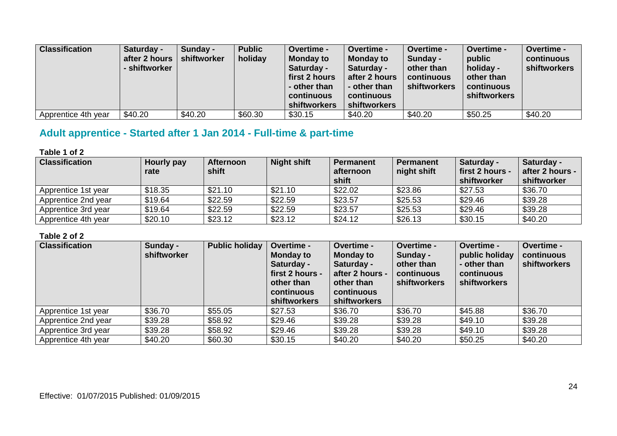| <b>Classification</b> | Saturday -<br>after 2 hours<br>- shiftworker | Sunday -<br>shiftworker | <b>Public</b><br>holiday | <b>Overtime -</b><br><b>Monday to</b><br>Saturday -<br>first 2 hours<br>- other than<br>continuous<br>shiftworkers | Overtime -<br><b>Monday to</b><br>Saturday -<br>after 2 hours<br>- other than<br>continuous<br><b>shiftworkers</b> | <b>Overtime -</b><br>Sunday -<br>other than<br>continuous<br>shiftworkers | Overtime -<br>public<br>holiday -<br>other than<br>continuous<br>shiftworkers | Overtime -<br>continuous<br>shiftworkers |
|-----------------------|----------------------------------------------|-------------------------|--------------------------|--------------------------------------------------------------------------------------------------------------------|--------------------------------------------------------------------------------------------------------------------|---------------------------------------------------------------------------|-------------------------------------------------------------------------------|------------------------------------------|
| Apprentice 4th year   | \$40.20                                      | \$40.20                 | \$60.30                  | \$30.15                                                                                                            | \$40.20                                                                                                            | \$40.20                                                                   | \$50.25                                                                       | \$40.20                                  |

# **Adult apprentice - Started after 1 Jan 2014 - Full-time & part-time**

#### **Table 1 of 2**

| <b>Classification</b> | Hourly pay<br>rate | <b>Afternoon</b><br>shift | <b>Night shift</b> | <b>Permanent</b><br>afternoon<br>shift | <b>Permanent</b><br>night shift | Saturday -<br>first 2 hours -<br>shiftworker | Saturday -<br>after 2 hours -<br>shiftworker |
|-----------------------|--------------------|---------------------------|--------------------|----------------------------------------|---------------------------------|----------------------------------------------|----------------------------------------------|
| Apprentice 1st year   | \$18.35            | \$21.10                   | \$21.10            | \$22.02                                | \$23.86                         | \$27.53                                      | \$36.70                                      |
| Apprentice 2nd year   | \$19.64            | \$22.59                   | \$22.59            | \$23.57                                | \$25.53                         | \$29.46                                      | \$39.28                                      |
| Apprentice 3rd year   | \$19.64            | \$22.59                   | \$22.59            | \$23.57                                | \$25.53                         | \$29.46                                      | \$39.28                                      |
| Apprentice 4th year   | \$20.10            | \$23.12                   | \$23.12            | \$24.12                                | \$26.13                         | \$30.15                                      | \$40.20                                      |

| <b>Classification</b> | Sunday -<br>shiftworker | <b>Public holiday</b> | Overtime -<br><b>Monday to</b><br>Saturday -<br>first 2 hours -<br>other than<br>continuous<br><b>shiftworkers</b> | Overtime -<br><b>Monday to</b><br>Saturday -<br>after 2 hours -<br>other than<br>continuous<br><b>shiftworkers</b> | Overtime -<br>Sunday -<br>other than<br>continuous<br>shiftworkers | Overtime -<br>public holiday<br>- other than<br>continuous<br><b>shiftworkers</b> | Overtime -<br>continuous<br><b>shiftworkers</b> |
|-----------------------|-------------------------|-----------------------|--------------------------------------------------------------------------------------------------------------------|--------------------------------------------------------------------------------------------------------------------|--------------------------------------------------------------------|-----------------------------------------------------------------------------------|-------------------------------------------------|
| Apprentice 1st year   | \$36.70                 | \$55.05               | \$27.53                                                                                                            | \$36.70                                                                                                            | \$36.70                                                            | \$45.88                                                                           | \$36.70                                         |
| Apprentice 2nd year   | \$39.28                 | \$58.92               | \$29.46                                                                                                            | \$39.28                                                                                                            | \$39.28                                                            | \$49.10                                                                           | \$39.28                                         |
| Apprentice 3rd year   | \$39.28                 | \$58.92               | \$29.46                                                                                                            | \$39.28                                                                                                            | \$39.28                                                            | \$49.10                                                                           | \$39.28                                         |
| Apprentice 4th year   | \$40.20                 | \$60.30               | \$30.15                                                                                                            | \$40.20                                                                                                            | \$40.20                                                            | \$50.25                                                                           | \$40.20                                         |